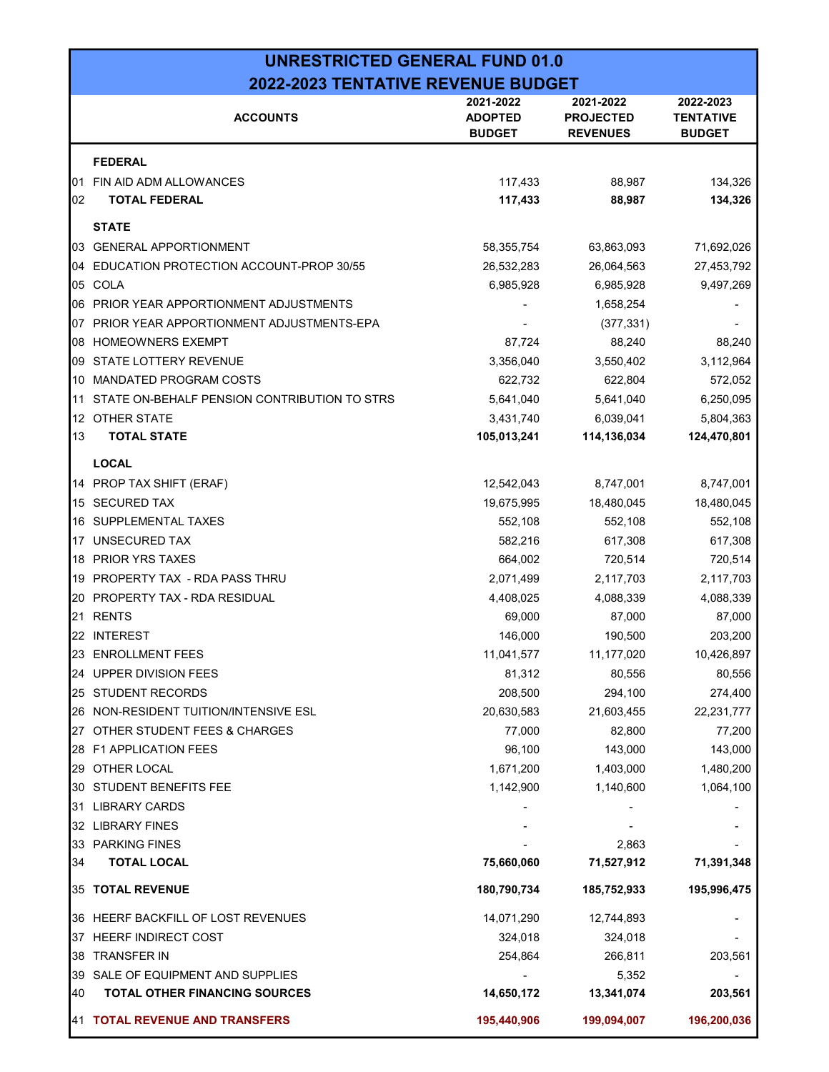### UNRESTRICTED GENERAL FUND 01.0 2022-2023 TENTATIVE REVENUE BUDGET

|     | <b>ACCOUNTS</b>                              | 2021-2022<br><b>ADOPTED</b><br><b>BUDGET</b> | 2021-2022<br><b>PROJECTED</b><br><b>REVENUES</b> | 2022-2023<br><b>TENTATIVE</b><br><b>BUDGET</b> |
|-----|----------------------------------------------|----------------------------------------------|--------------------------------------------------|------------------------------------------------|
|     | <b>FEDERAL</b>                               |                                              |                                                  |                                                |
| 01  | FIN AID ADM ALLOWANCES                       | 117,433                                      | 88,987                                           | 134,326                                        |
| 02  | <b>TOTAL FEDERAL</b>                         | 117,433                                      | 88,987                                           | 134,326                                        |
|     | <b>STATE</b>                                 |                                              |                                                  |                                                |
| 03  | <b>GENERAL APPORTIONMENT</b>                 | 58,355,754                                   | 63,863,093                                       | 71,692,026                                     |
| 04  | EDUCATION PROTECTION ACCOUNT-PROP 30/55      | 26,532,283                                   | 26,064,563                                       | 27,453,792                                     |
| 05  | COLA                                         | 6,985,928                                    | 6,985,928                                        | 9,497,269                                      |
|     | 06 PRIOR YEAR APPORTIONMENT ADJUSTMENTS      |                                              | 1,658,254                                        |                                                |
| 07  | PRIOR YEAR APPORTIONMENT ADJUSTMENTS-EPA     |                                              | (377, 331)                                       |                                                |
| 08  | <b>HOMEOWNERS EXEMPT</b>                     | 87,724                                       | 88,240                                           | 88,240                                         |
| 09  | <b>STATE LOTTERY REVENUE</b>                 | 3,356,040                                    | 3,550,402                                        | 3,112,964                                      |
| 10  | MANDATED PROGRAM COSTS                       | 622,732                                      | 622,804                                          | 572,052                                        |
| 11  | STATE ON-BEHALF PENSION CONTRIBUTION TO STRS | 5,641,040                                    | 5,641,040                                        | 6,250,095                                      |
| 12  | OTHER STATE                                  | 3,431,740                                    | 6,039,041                                        | 5,804,363                                      |
| 13  | <b>TOTAL STATE</b>                           | 105,013,241                                  | 114,136,034                                      | 124,470,801                                    |
|     | <b>LOCAL</b>                                 |                                              |                                                  |                                                |
|     | 14 PROP TAX SHIFT (ERAF)                     | 12,542,043                                   | 8,747,001                                        | 8,747,001                                      |
|     | 15 SECURED TAX                               | 19,675,995                                   | 18,480,045                                       | 18,480,045                                     |
| 16  | SUPPLEMENTAL TAXES                           | 552,108                                      | 552,108                                          | 552,108                                        |
|     | 17 UNSECURED TAX                             | 582,216                                      | 617,308                                          | 617,308                                        |
| 18  | PRIOR YRS TAXES                              | 664,002                                      | 720,514                                          | 720,514                                        |
| 19  | PROPERTY TAX - RDA PASS THRU                 | 2,071,499                                    | 2,117,703                                        | 2,117,703                                      |
| 20  | PROPERTY TAX - RDA RESIDUAL                  | 4,408,025                                    | 4,088,339                                        | 4,088,339                                      |
| 21  | <b>RENTS</b>                                 | 69,000                                       | 87,000                                           | 87,000                                         |
| 22. | <b>INTEREST</b>                              | 146,000                                      | 190,500                                          | 203,200                                        |
|     | 23 ENROLLMENT FEES                           | 11,041,577                                   | 11,177,020                                       | 10,426,897                                     |
| 24  | <b>UPPER DIVISION FEES</b>                   | 81,312                                       | 80,556                                           | 80,556                                         |
|     | 25 STUDENT RECORDS                           | 208,500                                      | 294,100                                          | 274,400                                        |
|     | 26 NON-RESIDENT TUITION/INTENSIVE ESL        | 20,630,583                                   | 21,603,455                                       | 22,231,777                                     |
| 27  | OTHER STUDENT FEES & CHARGES                 | 77,000                                       | 82,800                                           | 77,200                                         |
|     | 28 F1 APPLICATION FEES                       | 96,100                                       | 143,000                                          | 143,000                                        |
|     | 29 OTHER LOCAL                               | 1,671,200                                    | 1,403,000                                        | 1,480,200                                      |
|     | 30 STUDENT BENEFITS FEE                      | 1,142,900                                    | 1,140,600                                        | 1,064,100                                      |
| 31  | <b>LIBRARY CARDS</b>                         |                                              |                                                  |                                                |
|     | 32 LIBRARY FINES                             |                                              |                                                  |                                                |
| 33  | <b>PARKING FINES</b>                         |                                              | 2,863                                            |                                                |
| 34  | <b>TOTAL LOCAL</b>                           | 75,660,060                                   | 71,527,912                                       | 71,391,348                                     |
|     | 35 TOTAL REVENUE                             | 180,790,734                                  | 185,752,933                                      | 195,996,475                                    |
|     | 36 HEERF BACKFILL OF LOST REVENUES           | 14,071,290                                   | 12,744,893                                       |                                                |
|     | 37 HEERF INDIRECT COST                       | 324,018                                      | 324,018                                          |                                                |
| 38  | <b>TRANSFER IN</b>                           | 254,864                                      | 266,811                                          | 203,561                                        |
| 39  | SALE OF EQUIPMENT AND SUPPLIES               |                                              | 5,352                                            |                                                |
| 40  | TOTAL OTHER FINANCING SOURCES                | 14,650,172                                   | 13,341,074                                       | 203,561                                        |
|     | 41 TOTAL REVENUE AND TRANSFERS               | 195,440,906                                  | 199,094,007                                      | 196,200,036                                    |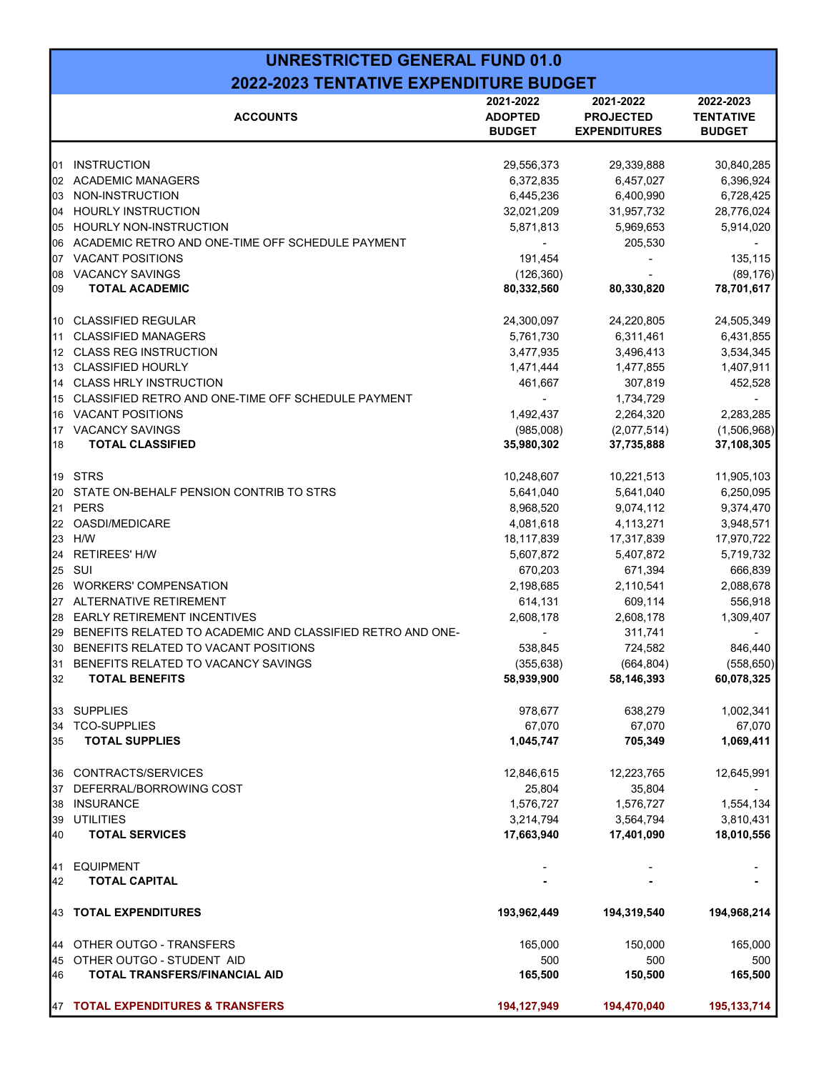### UNRESTRICTED GENERAL FUND 01.0 2022-2023 TENTATIVE EXPENDITURE BUDGET

|    | <b>ACCOUNTS</b>                                            | 2021-2022<br><b>ADOPTED</b><br><b>BUDGET</b> | 2021-2022<br><b>PROJECTED</b><br><b>EXPENDITURES</b> | 2022-2023<br><b>TENTATIVE</b><br><b>BUDGET</b> |
|----|------------------------------------------------------------|----------------------------------------------|------------------------------------------------------|------------------------------------------------|
| 01 | <b>INSTRUCTION</b>                                         | 29,556,373                                   | 29,339,888                                           | 30,840,285                                     |
| 02 | <b>ACADEMIC MANAGERS</b>                                   | 6,372,835                                    | 6,457,027                                            | 6,396,924                                      |
| 03 | NON-INSTRUCTION                                            | 6,445,236                                    | 6,400,990                                            | 6,728,425                                      |
| 04 | <b>HOURLY INSTRUCTION</b>                                  | 32,021,209                                   | 31,957,732                                           | 28,776,024                                     |
| 05 | <b>HOURLY NON-INSTRUCTION</b>                              | 5,871,813                                    | 5,969,653                                            | 5,914,020                                      |
| 06 | ACADEMIC RETRO AND ONE-TIME OFF SCHEDULE PAYMENT           | $\blacksquare$                               | 205,530                                              |                                                |
| 07 | <b>VACANT POSITIONS</b>                                    | 191,454                                      |                                                      | 135,115                                        |
| 08 | <b>VACANCY SAVINGS</b>                                     | (126, 360)                                   |                                                      | (89, 176)                                      |
| 09 | <b>TOTAL ACADEMIC</b>                                      | 80,332,560                                   | 80,330,820                                           | 78,701,617                                     |
| 10 | <b>CLASSIFIED REGULAR</b>                                  | 24,300,097                                   | 24,220,805                                           | 24,505,349                                     |
| 11 | <b>CLASSIFIED MANAGERS</b>                                 | 5,761,730                                    | 6,311,461                                            | 6,431,855                                      |
| 12 | <b>CLASS REG INSTRUCTION</b>                               | 3,477,935                                    | 3,496,413                                            | 3,534,345                                      |
| 13 | <b>CLASSIFIED HOURLY</b>                                   | 1,471,444                                    | 1,477,855                                            | 1,407,911                                      |
| 14 | <b>CLASS HRLY INSTRUCTION</b>                              | 461,667                                      | 307,819                                              | 452,528                                        |
| 15 | CLASSIFIED RETRO AND ONE-TIME OFF SCHEDULE PAYMENT         |                                              | 1,734,729                                            |                                                |
| 16 | <b>VACANT POSITIONS</b>                                    | 1,492,437                                    | 2,264,320                                            | 2,283,285                                      |
| 17 | <b>VACANCY SAVINGS</b>                                     | (985,008)                                    | (2,077,514)                                          | (1,506,968)                                    |
| 18 | <b>TOTAL CLASSIFIED</b>                                    | 35,980,302                                   | 37,735,888                                           | 37,108,305                                     |
| 19 | <b>STRS</b>                                                | 10,248,607                                   | 10,221,513                                           | 11,905,103                                     |
| 20 | STATE ON-BEHALF PENSION CONTRIB TO STRS                    | 5,641,040                                    | 5,641,040                                            | 6,250,095                                      |
| 21 | <b>PERS</b>                                                | 8,968,520                                    | 9,074,112                                            | 9,374,470                                      |
| 22 | OASDI/MEDICARE                                             | 4,081,618                                    | 4,113,271                                            | 3,948,571                                      |
| 23 | H/W                                                        | 18,117,839                                   | 17,317,839                                           | 17,970,722                                     |
| 24 | <b>RETIREES' H/W</b>                                       | 5,607,872                                    | 5,407,872                                            | 5,719,732                                      |
| 25 | SUI                                                        | 670,203                                      | 671,394                                              | 666,839                                        |
| 26 | <b>WORKERS' COMPENSATION</b>                               | 2,198,685                                    | 2,110,541                                            | 2,088,678                                      |
| 27 | ALTERNATIVE RETIREMENT                                     | 614,131                                      | 609,114                                              | 556,918                                        |
| 28 | <b>EARLY RETIREMENT INCENTIVES</b>                         | 2,608,178                                    | 2,608,178                                            | 1,309,407                                      |
| 29 | BENEFITS RELATED TO ACADEMIC AND CLASSIFIED RETRO AND ONE- |                                              | 311,741                                              |                                                |
| 30 | BENEFITS RELATED TO VACANT POSITIONS                       | 538,845                                      | 724,582                                              | 846,440                                        |
| 31 | BENEFITS RELATED TO VACANCY SAVINGS                        | (355, 638)                                   | (664, 804)                                           | (558, 650)                                     |
| 32 | <b>TOTAL BENEFITS</b>                                      | 58,939,900                                   | 58,146,393                                           | 60,078,325                                     |
| 33 | <b>SUPPLIES</b>                                            | 978,677                                      | 638,279                                              | 1,002,341                                      |
| 34 | <b>TCO-SUPPLIES</b>                                        | 67,070                                       | 67,070                                               | 67,070                                         |
| 35 | <b>TOTAL SUPPLIES</b>                                      | 1,045,747                                    | 705,349                                              | 1,069,411                                      |
| 36 | CONTRACTS/SERVICES                                         | 12,846,615                                   | 12,223,765                                           | 12,645,991                                     |
| 37 | DEFERRAL/BORROWING COST                                    | 25,804                                       | 35,804                                               |                                                |
| 38 | <b>INSURANCE</b>                                           | 1,576,727                                    | 1,576,727                                            | 1,554,134                                      |
| 39 | <b>UTILITIES</b>                                           | 3,214,794                                    | 3,564,794                                            | 3,810,431                                      |
| 40 | <b>TOTAL SERVICES</b>                                      | 17,663,940                                   | 17,401,090                                           | 18,010,556                                     |
| 41 | <b>EQUIPMENT</b>                                           |                                              |                                                      |                                                |
| 42 | <b>TOTAL CAPITAL</b>                                       |                                              |                                                      |                                                |
| 43 | <b>TOTAL EXPENDITURES</b>                                  | 193,962,449                                  | 194,319,540                                          | 194,968,214                                    |
| 44 | OTHER OUTGO - TRANSFERS                                    | 165,000                                      | 150,000                                              | 165,000                                        |
| 45 | OTHER OUTGO - STUDENT AID                                  | 500                                          | 500                                                  | 500                                            |
| 46 | TOTAL TRANSFERS/FINANCIAL AID                              | 165,500                                      | 150,500                                              | 165,500                                        |
| 47 | <b>TOTAL EXPENDITURES &amp; TRANSFERS</b>                  | 194, 127, 949                                | 194,470,040                                          | 195, 133, 714                                  |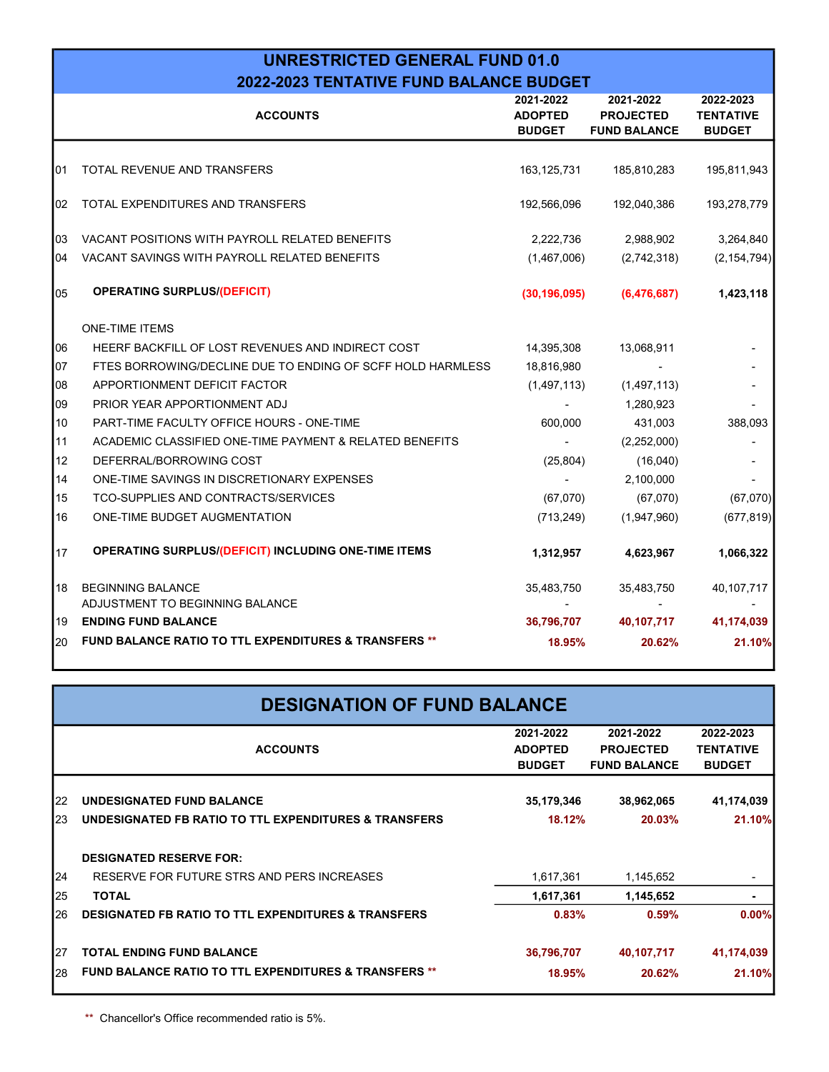#### UNRESTRICTED GENERAL FUND 01.0 2022-2023 TENTATIVE FUND BALANCE BUDGET

|    | <b>ACCOUNTS</b>                                                  | 2021-2022<br><b>ADOPTED</b><br><b>BUDGET</b> | 2021-2022<br><b>PROJECTED</b><br><b>FUND BALANCE</b> | 2022-2023<br><b>TENTATIVE</b><br><b>BUDGET</b> |
|----|------------------------------------------------------------------|----------------------------------------------|------------------------------------------------------|------------------------------------------------|
| 01 | TOTAL REVENUE AND TRANSFERS                                      | 163, 125, 731                                | 185,810,283                                          | 195,811,943                                    |
| 02 | TOTAL EXPENDITURES AND TRANSFERS                                 | 192,566,096                                  | 192,040,386                                          | 193,278,779                                    |
| 03 | VACANT POSITIONS WITH PAYROLL RELATED BENEFITS                   | 2,222,736                                    | 2,988,902                                            | 3,264,840                                      |
| 04 | VACANT SAVINGS WITH PAYROLL RELATED BENEFITS                     | (1,467,006)                                  | (2,742,318)                                          | (2, 154, 794)                                  |
| 05 | <b>OPERATING SURPLUS/(DEFICIT)</b>                               | (30, 196, 095)                               | (6,476,687)                                          | 1,423,118                                      |
|    | <b>ONE-TIME ITEMS</b>                                            |                                              |                                                      |                                                |
| 06 | HEERF BACKFILL OF LOST REVENUES AND INDIRECT COST                | 14,395,308                                   | 13,068,911                                           |                                                |
| 07 | FTES BORROWING/DECLINE DUE TO ENDING OF SCFF HOLD HARMLESS       | 18,816,980                                   |                                                      |                                                |
| 08 | APPORTIONMENT DEFICIT FACTOR                                     | (1,497,113)                                  | (1,497,113)                                          |                                                |
| 09 | PRIOR YEAR APPORTIONMENT ADJ                                     |                                              | 1,280,923                                            |                                                |
| 10 | PART-TIME FACULTY OFFICE HOURS - ONE-TIME                        | 600,000                                      | 431,003                                              | 388,093                                        |
| 11 | ACADEMIC CLASSIFIED ONE-TIME PAYMENT & RELATED BENEFITS          |                                              | (2,252,000)                                          |                                                |
| 12 | DEFERRAL/BORROWING COST                                          | (25, 804)                                    | (16,040)                                             |                                                |
| 14 | ONE-TIME SAVINGS IN DISCRETIONARY EXPENSES                       |                                              | 2,100,000                                            |                                                |
| 15 | TCO-SUPPLIES AND CONTRACTS/SERVICES                              | (67,070)                                     | (67,070)                                             | (67,070)                                       |
| 16 | ONE-TIME BUDGET AUGMENTATION                                     | (713, 249)                                   | (1,947,960)                                          | (677, 819)                                     |
| 17 | OPERATING SURPLUS/(DEFICIT) INCLUDING ONE-TIME ITEMS             | 1,312,957                                    | 4,623,967                                            | 1,066,322                                      |
| 18 | <b>BEGINNING BALANCE</b>                                         | 35,483,750                                   | 35,483,750                                           | 40,107,717                                     |
|    | ADJUSTMENT TO BEGINNING BALANCE<br><b>ENDING FUND BALANCE</b>    |                                              |                                                      |                                                |
| 19 |                                                                  | 36,796,707                                   | 40,107,717                                           | 41,174,039                                     |
| 20 | <b>FUND BALANCE RATIO TO TTL EXPENDITURES &amp; TRANSFERS **</b> | 18.95%                                       | 20.62%                                               | 21.10%                                         |

|    | <b>DESIGNATION OF FUND BALANCE</b>                               |                                              |                                                      |                                                |  |  |
|----|------------------------------------------------------------------|----------------------------------------------|------------------------------------------------------|------------------------------------------------|--|--|
|    | <b>ACCOUNTS</b>                                                  | 2021-2022<br><b>ADOPTED</b><br><b>BUDGET</b> | 2021-2022<br><b>PROJECTED</b><br><b>FUND BALANCE</b> | 2022-2023<br><b>TENTATIVE</b><br><b>BUDGET</b> |  |  |
| 22 | <b>UNDESIGNATED FUND BALANCE</b>                                 | 35,179,346                                   | 38,962,065                                           | 41,174,039                                     |  |  |
| 23 | UNDESIGNATED FB RATIO TO TTL EXPENDITURES & TRANSFERS            | 18.12%                                       | 20.03%                                               | 21.10%                                         |  |  |
|    | <b>DESIGNATED RESERVE FOR:</b>                                   |                                              |                                                      |                                                |  |  |
| 24 | RESERVE FOR FUTURE STRS AND PERS INCREASES                       | 1,617,361                                    | 1,145,652                                            | ٠                                              |  |  |
| 25 | <b>TOTAL</b>                                                     | 1,617,361                                    | 1,145,652                                            | $\blacksquare$                                 |  |  |
| 26 | <b>DESIGNATED FB RATIO TO TTL EXPENDITURES &amp; TRANSFERS</b>   | 0.83%                                        | 0.59%                                                | 0.00%                                          |  |  |
| 27 | <b>TOTAL ENDING FUND BALANCE</b>                                 | 36,796,707                                   | 40,107,717                                           | 41,174,039                                     |  |  |
| 28 | <b>FUND BALANCE RATIO TO TTL EXPENDITURES &amp; TRANSFERS **</b> | 18.95%                                       | 20.62%                                               | 21.10%                                         |  |  |

\*\* Chancellor's Office recommended ratio is 5%.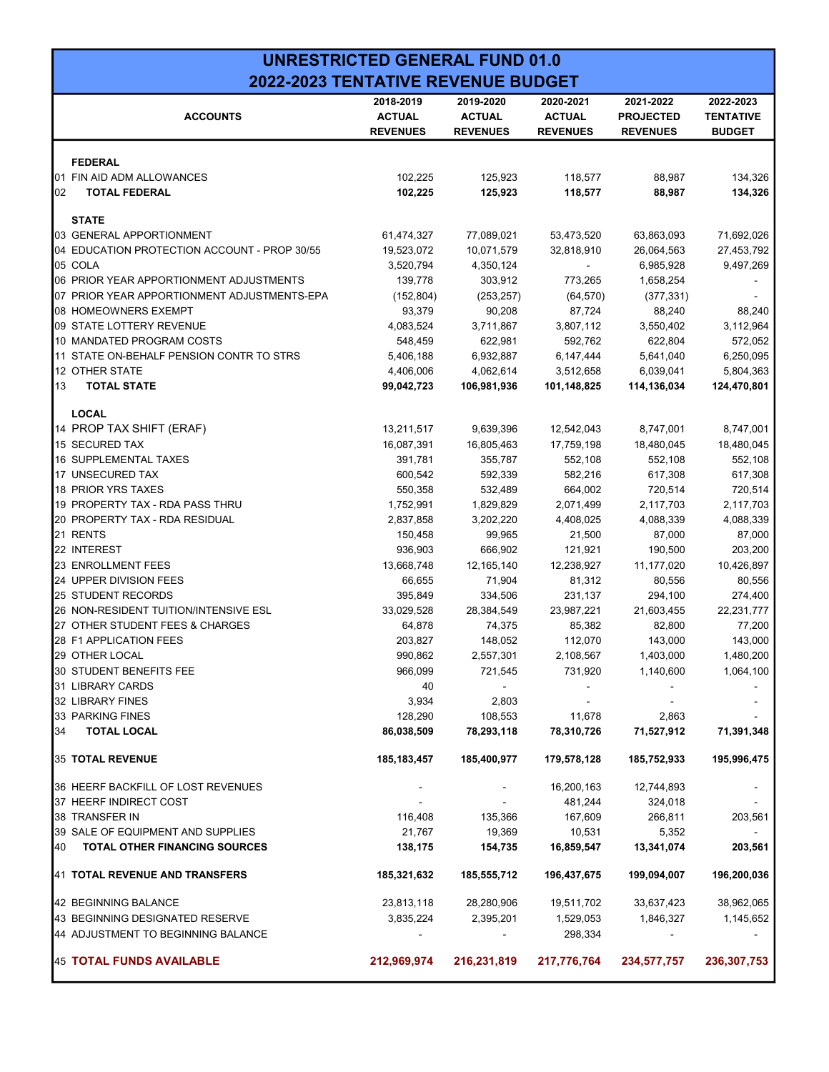| <b>UNRESTRICTED GENERAL FUND 01.0</b>     |  |
|-------------------------------------------|--|
| <b>2022-2023 TENTATIVE REVENUE BUDGET</b> |  |

|    | <b>ACCOUNTS</b>                              | 2018-2019<br><b>ACTUAL</b><br><b>REVENUES</b> | 2019-2020<br><b>ACTUAL</b><br><b>REVENUES</b> | 2020-2021<br><b>ACTUAL</b><br><b>REVENUES</b> | 2021-2022<br><b>PROJECTED</b><br><b>REVENUES</b> | 2022-2023<br><b>TENTATIVE</b><br><b>BUDGET</b> |
|----|----------------------------------------------|-----------------------------------------------|-----------------------------------------------|-----------------------------------------------|--------------------------------------------------|------------------------------------------------|
|    |                                              |                                               |                                               |                                               |                                                  |                                                |
|    | <b>FEDERAL</b>                               |                                               |                                               |                                               |                                                  |                                                |
|    | 01 FIN AID ADM ALLOWANCES                    | 102,225                                       | 125,923                                       | 118,577                                       | 88,987                                           | 134,326                                        |
| 02 | <b>TOTAL FEDERAL</b>                         | 102,225                                       | 125,923                                       | 118,577                                       | 88,987                                           | 134,326                                        |
|    | <b>STATE</b>                                 |                                               |                                               |                                               |                                                  |                                                |
|    | 03 GENERAL APPORTIONMENT                     | 61,474,327                                    | 77,089,021                                    | 53,473,520                                    | 63,863,093                                       | 71,692,026                                     |
|    | 04 EDUCATION PROTECTION ACCOUNT - PROP 30/55 | 19,523,072                                    | 10,071,579                                    | 32,818,910                                    | 26,064,563                                       | 27,453,792                                     |
|    | 05 COLA                                      | 3,520,794                                     | 4,350,124                                     |                                               | 6,985,928                                        | 9,497,269                                      |
|    | 06 PRIOR YEAR APPORTIONMENT ADJUSTMENTS      | 139,778                                       | 303,912                                       | 773,265                                       | 1,658,254                                        |                                                |
|    | 07 PRIOR YEAR APPORTIONMENT ADJUSTMENTS-EPA  | (152, 804)                                    | (253, 257)                                    | (64, 570)                                     | (377, 331)                                       |                                                |
|    | 08 HOMEOWNERS EXEMPT                         | 93,379                                        | 90,208                                        | 87,724                                        | 88,240                                           | 88,240                                         |
|    | 09 STATE LOTTERY REVENUE                     | 4,083,524                                     | 3,711,867                                     | 3,807,112                                     | 3,550,402                                        | 3,112,964                                      |
|    | 10 MANDATED PROGRAM COSTS                    | 548,459                                       | 622,981                                       | 592,762                                       | 622,804                                          | 572,052                                        |
|    | 11 STATE ON-BEHALF PENSION CONTR TO STRS     | 5,406,188                                     | 6,932,887                                     | 6,147,444                                     | 5,641,040                                        | 6,250,095                                      |
|    | 12 OTHER STATE                               | 4,406,006                                     | 4,062,614                                     | 3,512,658                                     | 6,039,041                                        | 5,804,363                                      |
| 13 | <b>TOTAL STATE</b>                           | 99,042,723                                    | 106,981,936                                   | 101,148,825                                   | 114,136,034                                      | 124,470,801                                    |
|    | <b>LOCAL</b>                                 |                                               |                                               |                                               |                                                  |                                                |
|    | 14 PROP TAX SHIFT (ERAF)                     | 13,211,517                                    | 9,639,396                                     | 12,542,043                                    | 8,747,001                                        | 8,747,001                                      |
|    | 15 SECURED TAX                               | 16,087,391                                    | 16,805,463                                    | 17,759,198                                    | 18,480,045                                       | 18,480,045                                     |
|    | 16 SUPPLEMENTAL TAXES                        | 391,781                                       | 355,787                                       | 552,108                                       | 552,108                                          | 552,108                                        |
|    | 17 UNSECURED TAX                             | 600,542                                       | 592,339                                       | 582,216                                       | 617,308                                          | 617,308                                        |
|    | 18 PRIOR YRS TAXES                           | 550,358                                       | 532,489                                       | 664,002                                       | 720,514                                          | 720,514                                        |
|    | 19 PROPERTY TAX - RDA PASS THRU              | 1,752,991                                     | 1,829,829                                     | 2,071,499                                     | 2,117,703                                        | 2,117,703                                      |
|    | 20 PROPERTY TAX - RDA RESIDUAL               | 2,837,858                                     | 3,202,220                                     | 4,408,025                                     | 4,088,339                                        | 4,088,339                                      |
|    | 21 RENTS                                     | 150,458                                       | 99,965                                        | 21,500                                        | 87,000                                           | 87,000                                         |
|    | 22 INTEREST                                  | 936,903                                       | 666,902                                       | 121,921                                       | 190,500                                          | 203,200                                        |
|    | 23 ENROLLMENT FEES                           | 13,668,748                                    | 12, 165, 140                                  | 12,238,927                                    | 11,177,020                                       | 10,426,897                                     |
|    | 24 UPPER DIVISION FEES                       | 66,655                                        | 71,904                                        | 81,312                                        | 80,556                                           | 80,556                                         |
|    | 25 STUDENT RECORDS                           | 395,849                                       | 334,506                                       | 231,137                                       | 294,100                                          | 274,400                                        |
|    | 26 NON-RESIDENT TUITION/INTENSIVE ESL        | 33,029,528                                    | 28,384,549                                    | 23,987,221                                    | 21,603,455                                       | 22,231,777                                     |
|    | 27 OTHER STUDENT FEES & CHARGES              | 64,878                                        | 74,375                                        | 85,382                                        | 82,800                                           | 77,200                                         |
|    | 28 F1 APPLICATION FEES                       | 203,827                                       | 148,052                                       | 112,070                                       | 143,000                                          | 143,000                                        |
|    | 29 OTHER LOCAL                               | 990,862                                       | 2,557,301                                     | 2,108,567                                     | 1,403,000                                        | 1,480,200                                      |
|    | 30 STUDENT BENEFITS FEE                      | 966,099                                       | 721,545                                       | 731,920                                       | 1,140,600                                        | 1,064,100                                      |
|    | 31 LIBRARY CARDS                             | 40                                            |                                               |                                               |                                                  |                                                |
|    | 32 LIBRARY FINES                             | 3,934                                         | 2,803                                         |                                               |                                                  |                                                |
|    | 33 PARKING FINES                             | 128,290                                       | 108,553                                       | 11,678                                        | 2,863                                            |                                                |
| 34 | <b>TOTAL LOCAL</b>                           | 86,038,509                                    | 78,293,118                                    | 78,310,726                                    | 71,527,912                                       | 71,391,348                                     |
|    | 35 TOTAL REVENUE                             | 185, 183, 457                                 | 185,400,977                                   | 179,578,128                                   | 185,752,933                                      | 195,996,475                                    |
|    | 36 HEERF BACKFILL OF LOST REVENUES           |                                               |                                               | 16,200,163                                    | 12,744,893                                       |                                                |
|    | 37 HEERF INDIRECT COST                       |                                               | $\sim$                                        | 481,244                                       | 324,018                                          |                                                |
|    | 38 TRANSFER IN                               | 116,408                                       | 135,366                                       | 167,609                                       | 266,811                                          | 203,561                                        |
|    | 39 SALE OF EQUIPMENT AND SUPPLIES            | 21,767                                        | 19,369                                        | 10,531                                        | 5,352                                            |                                                |
| 40 | <b>TOTAL OTHER FINANCING SOURCES</b>         | 138,175                                       | 154,735                                       | 16,859,547                                    | 13,341,074                                       | 203,561                                        |
|    | 41 TOTAL REVENUE AND TRANSFERS               | 185,321,632                                   | 185,555,712                                   | 196,437,675                                   | 199,094,007                                      | 196,200,036                                    |
|    | 42 BEGINNING BALANCE                         | 23,813,118                                    | 28,280,906                                    | 19,511,702                                    | 33,637,423                                       | 38,962,065                                     |
|    | 43 BEGINNING DESIGNATED RESERVE              | 3,835,224                                     | 2,395,201                                     | 1,529,053                                     | 1,846,327                                        | 1,145,652                                      |
|    | 44 ADJUSTMENT TO BEGINNING BALANCE           |                                               |                                               | 298,334                                       |                                                  |                                                |
|    | 45 TOTAL FUNDS AVAILABLE                     | 212,969,974                                   | 216,231,819                                   | 217,776,764                                   | 234,577,757                                      | 236, 307, 753                                  |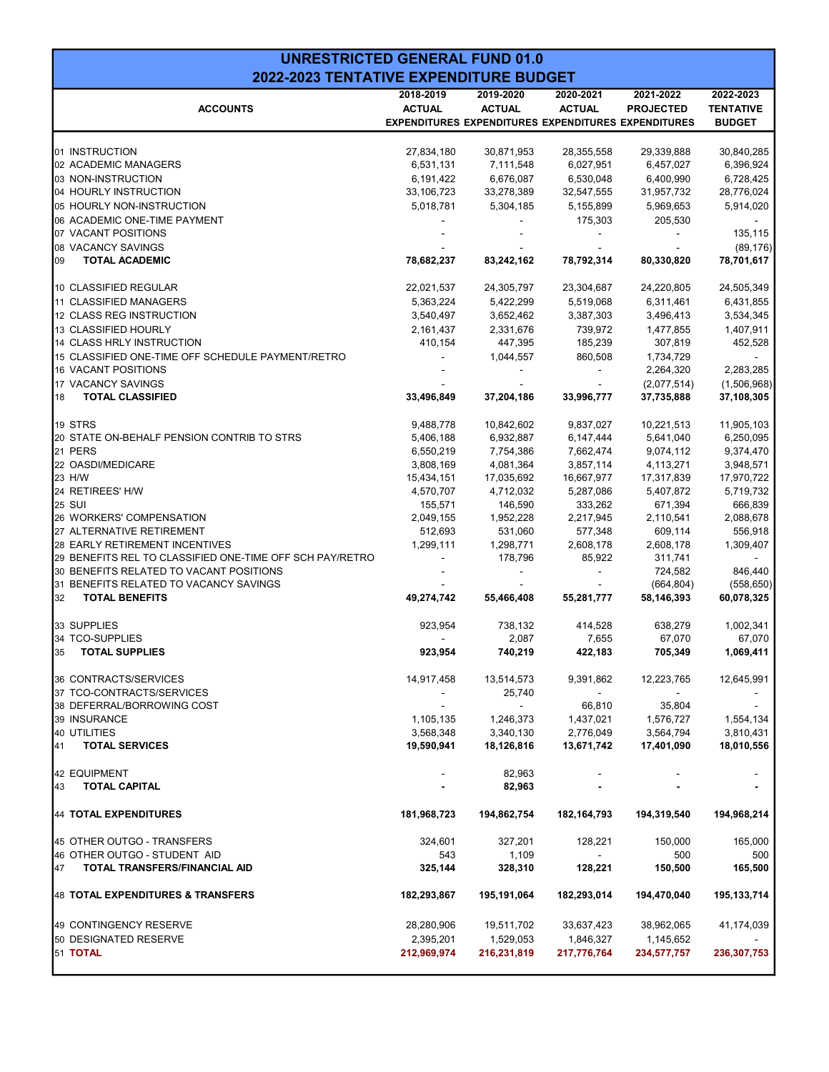| <b>UNRESTRICTED GENERAL FUND 01.0</b>                      |                        |                                                            |                           |                         |                  |
|------------------------------------------------------------|------------------------|------------------------------------------------------------|---------------------------|-------------------------|------------------|
| 2022-2023 TENTATIVE EXPENDITURE BUDGET                     |                        |                                                            |                           |                         |                  |
|                                                            | 2018-2019              | 2019-2020                                                  | 2020-2021                 | 2021-2022               | 2022-2023        |
| <b>ACCOUNTS</b>                                            | <b>ACTUAL</b>          | <b>ACTUAL</b>                                              | <b>ACTUAL</b>             | <b>PROJECTED</b>        | <b>TENTATIVE</b> |
|                                                            |                        | <b>EXPENDITURES EXPENDITURES EXPENDITURES EXPENDITURES</b> |                           |                         | <b>BUDGET</b>    |
|                                                            |                        |                                                            |                           |                         |                  |
| 01 INSTRUCTION                                             | 27,834,180             | 30,871,953                                                 | 28,355,558                | 29,339,888              | 30,840,285       |
| 02 ACADEMIC MANAGERS                                       | 6,531,131              | 7,111,548                                                  | 6,027,951                 | 6,457,027               | 6,396,924        |
| 03 NON-INSTRUCTION                                         | 6,191,422              | 6,676,087                                                  | 6,530,048                 | 6,400,990               | 6,728,425        |
| 04 HOURLY INSTRUCTION                                      | 33,106,723             | 33,278,389                                                 | 32,547,555                | 31,957,732              | 28,776,024       |
| 05 HOURLY NON-INSTRUCTION                                  | 5,018,781              | 5,304,185                                                  | 5,155,899                 | 5,969,653               | 5,914,020        |
| 06 ACADEMIC ONE-TIME PAYMENT                               |                        |                                                            | 175,303                   | 205,530                 |                  |
| 07 VACANT POSITIONS                                        |                        |                                                            |                           |                         | 135,115          |
| 08 VACANCY SAVINGS                                         |                        |                                                            |                           |                         | (89, 176)        |
| 09<br><b>TOTAL ACADEMIC</b>                                | 78,682,237             | 83,242,162                                                 | 78,792,314                | 80,330,820              | 78,701,617       |
| 10 CLASSIFIED REGULAR                                      | 22,021,537             | 24,305,797                                                 | 23,304,687                | 24,220,805              | 24,505,349       |
| 11 CLASSIFIED MANAGERS                                     | 5,363,224              | 5,422,299                                                  | 5,519,068                 | 6,311,461               | 6,431,855        |
| 12 CLASS REG INSTRUCTION                                   | 3,540,497              | 3,652,462                                                  | 3,387,303                 | 3,496,413               | 3,534,345        |
| 13 CLASSIFIED HOURLY                                       | 2,161,437              | 2,331,676                                                  | 739,972                   | 1,477,855               | 1,407,911        |
| 14 CLASS HRLY INSTRUCTION                                  | 410,154                | 447,395                                                    | 185,239                   | 307,819                 | 452,528          |
| 15 CLASSIFIED ONE-TIME OFF SCHEDULE PAYMENT/RETRO          |                        | 1,044,557                                                  | 860,508                   | 1,734,729               |                  |
| 16 VACANT POSITIONS                                        |                        |                                                            |                           | 2,264,320               | 2,283,285        |
| 17 VACANCY SAVINGS                                         |                        |                                                            |                           | (2,077,514)             | (1,506,968)      |
| 18<br><b>TOTAL CLASSIFIED</b>                              | 33,496,849             | 37,204,186                                                 | 33,996,777                | 37,735,888              | 37,108,305       |
| 19 STRS                                                    |                        |                                                            |                           |                         | 11,905,103       |
| 20 STATE ON-BEHALF PENSION CONTRIB TO STRS                 | 9,488,778<br>5,406,188 | 10,842,602<br>6,932,887                                    | 9,837,027<br>6,147,444    | 10,221,513<br>5,641,040 | 6,250,095        |
| 21 PERS                                                    | 6,550,219              | 7,754,386                                                  | 7,662,474                 | 9,074,112               | 9,374,470        |
| 22 OASDI/MEDICARE                                          | 3,808,169              | 4,081,364                                                  | 3,857,114                 | 4,113,271               | 3,948,571        |
| 23 H/W                                                     | 15,434,151             | 17,035,692                                                 | 16,667,977                | 17,317,839              | 17,970,722       |
| 24 RETIREES' H/W                                           | 4,570,707              | 4,712,032                                                  | 5,287,086                 | 5,407,872               | 5,719,732        |
| <b>25 SUI</b>                                              | 155,571                | 146,590                                                    | 333,262                   | 671,394                 | 666,839          |
| 26 WORKERS' COMPENSATION                                   | 2,049,155              | 1,952,228                                                  | 2,217,945                 | 2,110,541               | 2,088,678        |
| 27 ALTERNATIVE RETIREMENT                                  | 512,693                | 531,060                                                    | 577,348                   | 609,114                 | 556,918          |
| 28 EARLY RETIREMENT INCENTIVES                             | 1,299,111              | 1,298,771                                                  | 2,608,178                 | 2,608,178               | 1,309,407        |
| 29 BENEFITS REL TO CLASSIFIED ONE-TIME OFF SCH PAY/RETRO   |                        | 178,796                                                    | 85,922                    | 311,741                 |                  |
| 30 BENEFITS RELATED TO VACANT POSITIONS                    |                        |                                                            |                           | 724,582                 | 846,440          |
| 31 BENEFITS RELATED TO VACANCY SAVINGS                     |                        |                                                            |                           | (664, 804)              | (558, 650)       |
| 32<br><b>TOTAL BENEFITS</b>                                | 49,274,742             | 55,466,408                                                 | 55,281,777                | 58,146,393              | 60,078,325       |
|                                                            |                        |                                                            |                           |                         |                  |
| 33 SUPPLIES                                                | 923,954                | 738,132                                                    | 414,528                   | 638,279                 | 1,002,341        |
| 34 TCO-SUPPLIES                                            |                        | 2,087                                                      | 7,655                     | 67,070                  | 67,070           |
| 35 TOTAL SUPPLIES                                          | 923,954                | 740,219                                                    | 422,183                   | 705,349                 | 1,069,411        |
| 36 CONTRACTS/SERVICES                                      | 14,917,458             | 13,514,573                                                 | 9,391,862                 | 12,223,765              | 12,645,991       |
| 37 TCO-CONTRACTS/SERVICES                                  | $\blacksquare$         | 25,740                                                     | $\sim$                    | $\blacksquare$          |                  |
| 38 DEFERRAL/BORROWING COST                                 | $\sim$                 | $\sim$ $-$                                                 | 66,810                    | 35,804                  | $\sim$           |
| 39 INSURANCE                                               | 1,105,135              | 1,246,373                                                  | 1,437,021                 | 1,576,727               | 1,554,134        |
| 40 UTILITIES                                               | 3,568,348              | 3,340,130                                                  | 2,776,049                 | 3,564,794               | 3,810,431        |
| 41<br><b>TOTAL SERVICES</b>                                | 19,590,941             | 18,126,816                                                 | 13,671,742                | 17,401,090              | 18,010,556       |
| 42 EQUIPMENT                                               |                        | 82,963                                                     |                           |                         |                  |
| 43<br><b>TOTAL CAPITAL</b>                                 |                        | 82,963                                                     |                           |                         |                  |
| 44 TOTAL EXPENDITURES                                      | 181,968,723            | 194,862,754                                                | 182, 164, 793             | 194,319,540             | 194,968,214      |
|                                                            |                        |                                                            |                           |                         |                  |
| 45 OTHER OUTGO - TRANSFERS<br>46 OTHER OUTGO - STUDENT AID | 324,601<br>543         | 327,201<br>1,109                                           | 128,221<br>$\blacksquare$ | 150,000<br>500          | 165,000<br>500   |
| 47<br>TOTAL TRANSFERS/FINANCIAL AID                        | 325,144                | 328,310                                                    | 128,221                   | 150,500                 | 165,500          |
| 48 TOTAL EXPENDITURES & TRANSFERS                          | 182,293,867            | 195,191,064                                                | 182,293,014               | 194,470,040             | 195,133,714      |
|                                                            |                        |                                                            |                           |                         |                  |
| 49 CONTINGENCY RESERVE                                     | 28,280,906             | 19,511,702                                                 | 33,637,423                | 38,962,065              | 41,174,039       |
| 50 DESIGNATED RESERVE                                      | 2,395,201              | 1,529,053                                                  | 1,846,327                 | 1,145,652               |                  |
| 51 TOTAL                                                   | 212,969,974            | 216,231,819                                                | 217,776,764               | 234,577,757             | 236, 307, 753    |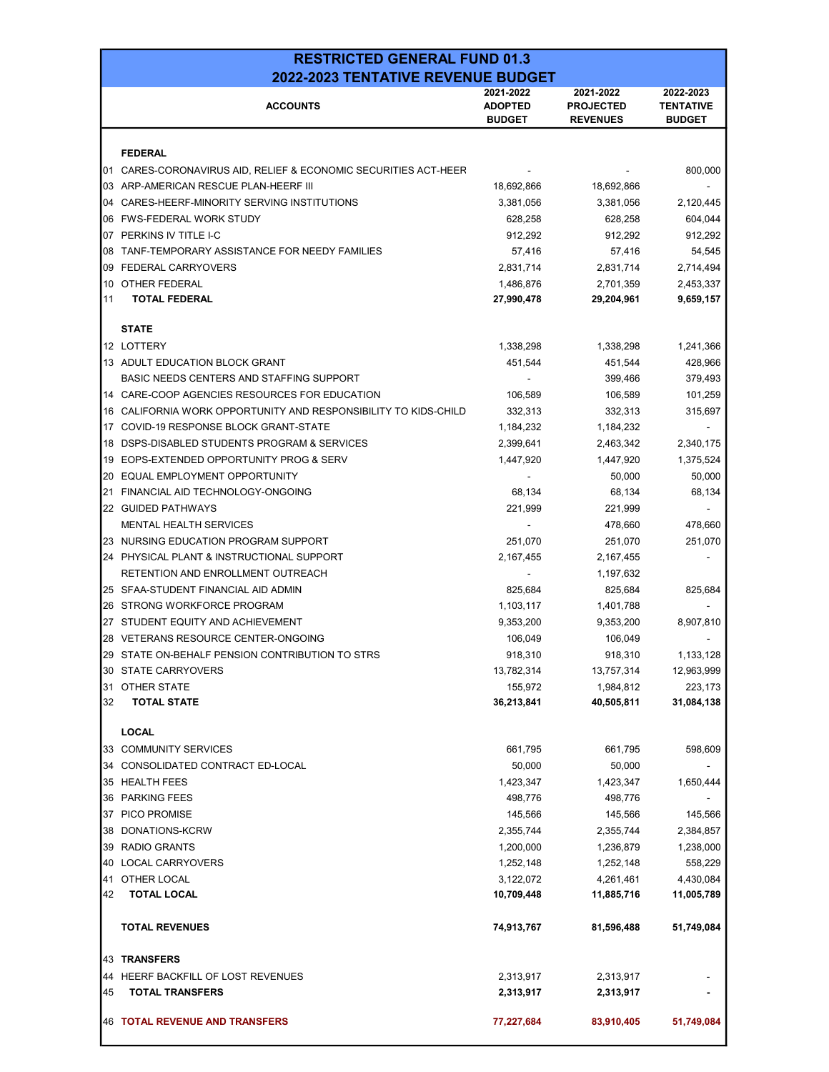|          | <b>RESTRICTED GENERAL FUND 01.3</b>                                                |                             |                               |                               |  |
|----------|------------------------------------------------------------------------------------|-----------------------------|-------------------------------|-------------------------------|--|
|          | 2022-2023 TENTATIVE REVENUE BUDGET                                                 |                             |                               |                               |  |
|          | <b>ACCOUNTS</b>                                                                    | 2021-2022<br><b>ADOPTED</b> | 2021-2022<br><b>PROJECTED</b> | 2022-2023<br><b>TENTATIVE</b> |  |
|          |                                                                                    | <b>BUDGET</b>               | <b>REVENUES</b>               | <b>BUDGET</b>                 |  |
|          | <b>FEDERAL</b>                                                                     |                             |                               |                               |  |
| 101      | CARES-CORONAVIRUS AID, RELIEF & ECONOMIC SECURITIES ACT-HEER                       |                             |                               | 800,000                       |  |
| 103      | ARP-AMERICAN RESCUE PLAN-HEERF III                                                 | 18,692,866                  | 18,692,866                    |                               |  |
| 04       | CARES-HEERF-MINORITY SERVING INSTITUTIONS                                          | 3,381,056                   | 3,381,056                     | 2,120,445                     |  |
| 06       | FWS-FEDERAL WORK STUDY                                                             | 628,258                     | 628,258                       | 604,044                       |  |
| 107      | PERKINS IV TITLE I-C                                                               | 912,292                     | 912,292                       | 912,292                       |  |
| 08       | TANF-TEMPORARY ASSISTANCE FOR NEEDY FAMILIES                                       | 57,416                      | 57,416                        | 54,545                        |  |
| 09       | <b>FEDERAL CARRYOVERS</b>                                                          | 2,831,714                   | 2,831,714                     | 2,714,494                     |  |
| 10       | OTHER FEDERAL                                                                      | 1,486,876                   | 2,701,359                     | 2,453,337                     |  |
| 11       | <b>TOTAL FEDERAL</b>                                                               | 27,990,478                  | 29,204,961                    | 9,659,157                     |  |
|          |                                                                                    |                             |                               |                               |  |
|          | <b>STATE</b>                                                                       |                             |                               |                               |  |
|          | 12 LOTTERY                                                                         | 1,338,298                   | 1,338,298                     | 1,241,366                     |  |
|          | 13 ADULT EDUCATION BLOCK GRANT                                                     | 451,544                     | 451,544                       | 428,966                       |  |
|          | BASIC NEEDS CENTERS AND STAFFING SUPPORT                                           |                             | 399,466                       | 379,493                       |  |
|          | 14 CARE-COOP AGENCIES RESOURCES FOR EDUCATION                                      | 106,589                     | 106,589                       | 101,259                       |  |
| 16       | CALIFORNIA WORK OPPORTUNITY AND RESPONSIBILITY TO KIDS-CHILD                       | 332.313                     | 332,313                       | 315,697                       |  |
| 17       | COVID-19 RESPONSE BLOCK GRANT-STATE                                                | 1,184,232                   | 1,184,232                     |                               |  |
| 18<br>19 | DSPS-DISABLED STUDENTS PROGRAM & SERVICES<br>EOPS-EXTENDED OPPORTUNITY PROG & SERV | 2,399,641                   | 2,463,342                     | 2,340,175<br>1,375,524        |  |
| 20       | EQUAL EMPLOYMENT OPPORTUNITY                                                       | 1,447,920                   | 1,447,920<br>50,000           | 50,000                        |  |
| 21       | FINANCIAL AID TECHNOLOGY-ONGOING                                                   | 68,134                      | 68,134                        | 68,134                        |  |
|          | 22 GUIDED PATHWAYS                                                                 | 221,999                     | 221,999                       |                               |  |
|          | MENTAL HEALTH SERVICES                                                             |                             | 478,660                       | 478,660                       |  |
|          | 23 NURSING EDUCATION PROGRAM SUPPORT                                               | 251,070                     | 251,070                       | 251,070                       |  |
|          | 24 PHYSICAL PLANT & INSTRUCTIONAL SUPPORT                                          | 2,167,455                   | 2,167,455                     |                               |  |
|          | RETENTION AND ENROLLMENT OUTREACH                                                  |                             | 1,197,632                     |                               |  |
|          | 25 SFAA-STUDENT FINANCIAL AID ADMIN                                                | 825,684                     | 825,684                       | 825,684                       |  |
| 26       | STRONG WORKFORCE PROGRAM                                                           | 1,103,117                   | 1,401,788                     |                               |  |
|          | 27 STUDENT EQUITY AND ACHIEVEMENT                                                  | 9,353,200                   | 9,353,200                     | 8,907,810                     |  |
| 28       | VETERANS RESOURCE CENTER-ONGOING                                                   | 106,049                     | 106,049                       |                               |  |
|          | 29 STATE ON-BEHALF PENSION CONTRIBUTION TO STRS                                    | 918,310                     | 918,310                       | 1,133,128                     |  |
|          | 30 STATE CARRYOVERS                                                                | 13,782,314                  | 13,757,314                    | 12,963,999                    |  |
| 31       | OTHER STATE                                                                        | 155,972                     | 1,984,812                     | 223,173                       |  |
| 32       | <b>TOTAL STATE</b>                                                                 | 36,213,841                  | 40,505,811                    | 31,084,138                    |  |
|          |                                                                                    |                             |                               |                               |  |
|          | <b>LOCAL</b>                                                                       |                             |                               |                               |  |
| 33       | <b>COMMUNITY SERVICES</b>                                                          | 661,795                     | 661,795                       | 598,609                       |  |
| 34       | CONSOLIDATED CONTRACT ED-LOCAL                                                     | 50,000                      | 50,000                        |                               |  |
| 35       | <b>HEALTH FEES</b><br><b>PARKING FEES</b>                                          | 1,423,347                   | 1,423,347                     | 1,650,444                     |  |
| 36       |                                                                                    | 498,776                     | 498,776                       |                               |  |
|          | 37 PICO PROMISE<br>DONATIONS-KCRW                                                  | 145,566<br>2,355,744        | 145,566                       | 145,566                       |  |
| 38<br>39 | <b>RADIO GRANTS</b>                                                                | 1,200,000                   | 2,355,744<br>1,236,879        | 2,384,857<br>1,238,000        |  |
| 40       | <b>LOCAL CARRYOVERS</b>                                                            | 1,252,148                   | 1,252,148                     | 558,229                       |  |
| 41       | OTHER LOCAL                                                                        | 3,122,072                   | 4,261,461                     | 4,430,084                     |  |
| 42       | <b>TOTAL LOCAL</b>                                                                 | 10,709,448                  | 11,885,716                    | 11,005,789                    |  |
|          |                                                                                    |                             |                               |                               |  |
|          | <b>TOTAL REVENUES</b>                                                              | 74,913,767                  | 81,596,488                    | 51,749,084                    |  |
| 43       | <b>TRANSFERS</b>                                                                   |                             |                               |                               |  |
| 44       | HEERF BACKFILL OF LOST REVENUES                                                    | 2,313,917                   | 2,313,917                     |                               |  |
| 45       | <b>TOTAL TRANSFERS</b>                                                             | 2,313,917                   | 2,313,917                     |                               |  |
|          | 46 TOTAL REVENUE AND TRANSFERS                                                     | 77,227,684                  | 83,910,405                    | 51,749,084                    |  |
|          |                                                                                    |                             |                               |                               |  |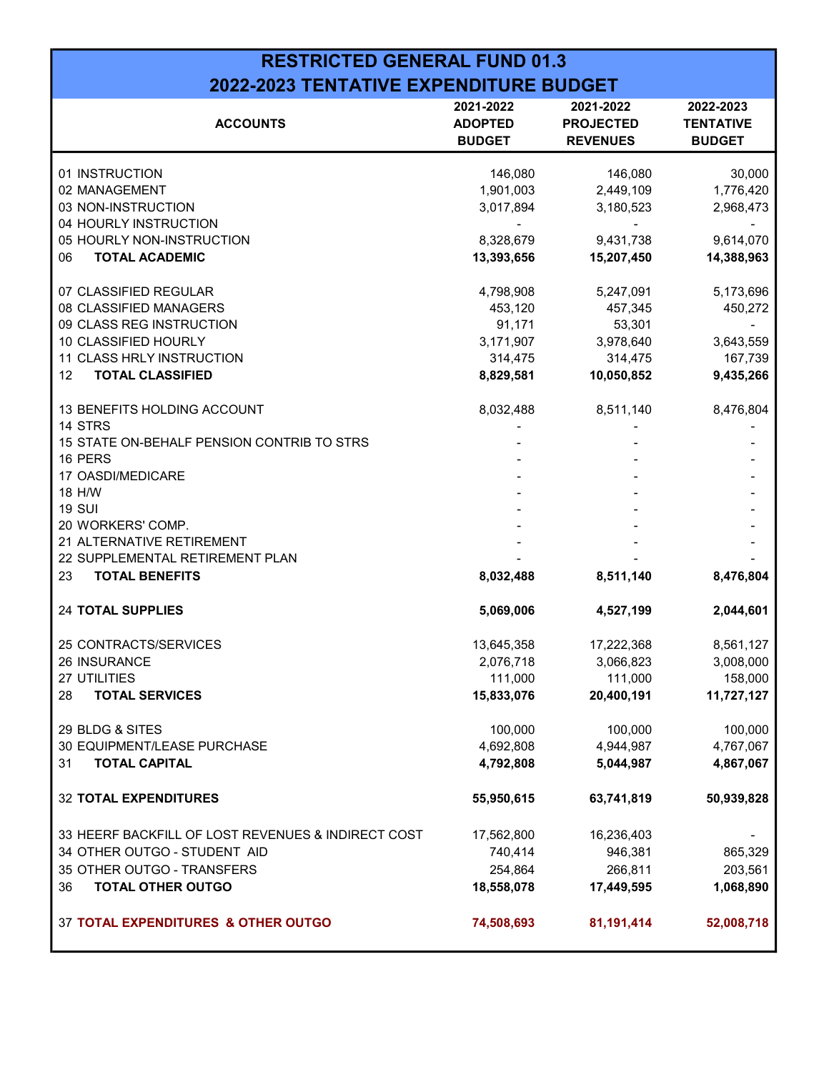## RESTRICTED GENERAL FUND 01.3 2022-2023 TENTATIVE EXPENDITURE BUDGET

| <b>ACCOUNTS</b>                                    | 2021-2022<br><b>ADOPTED</b><br><b>BUDGET</b> | 2021-2022<br><b>PROJECTED</b><br><b>REVENUES</b> | 2022-2023<br><b>TENTATIVE</b><br><b>BUDGET</b> |
|----------------------------------------------------|----------------------------------------------|--------------------------------------------------|------------------------------------------------|
| 01 INSTRUCTION                                     | 146,080                                      | 146,080                                          | 30,000                                         |
| 02 MANAGEMENT                                      | 1,901,003                                    | 2,449,109                                        | 1,776,420                                      |
| 03 NON-INSTRUCTION                                 | 3,017,894                                    | 3,180,523                                        | 2,968,473                                      |
| 04 HOURLY INSTRUCTION                              |                                              |                                                  |                                                |
| 05 HOURLY NON-INSTRUCTION                          | 8,328,679                                    | 9,431,738                                        | 9,614,070                                      |
| 06<br><b>TOTAL ACADEMIC</b>                        | 13,393,656                                   | 15,207,450                                       | 14,388,963                                     |
| 07 CLASSIFIED REGULAR                              | 4,798,908                                    | 5,247,091                                        | 5,173,696                                      |
| 08 CLASSIFIED MANAGERS                             | 453,120                                      | 457,345                                          | 450,272                                        |
| 09 CLASS REG INSTRUCTION                           | 91,171                                       | 53,301                                           |                                                |
| 10 CLASSIFIED HOURLY                               | 3,171,907                                    | 3,978,640                                        | 3,643,559                                      |
| 11 CLASS HRLY INSTRUCTION                          | 314,475                                      | 314,475                                          | 167,739                                        |
| <b>TOTAL CLASSIFIED</b><br>12                      | 8,829,581                                    | 10,050,852                                       | 9,435,266                                      |
| 13 BENEFITS HOLDING ACCOUNT                        | 8,032,488                                    | 8,511,140                                        | 8,476,804                                      |
| 14 STRS                                            |                                              |                                                  |                                                |
| 15 STATE ON-BEHALF PENSION CONTRIB TO STRS         |                                              |                                                  |                                                |
| 16 PERS                                            |                                              |                                                  |                                                |
| 17 OASDI/MEDICARE                                  |                                              |                                                  |                                                |
| 18 H/W                                             |                                              |                                                  |                                                |
| <b>19 SUI</b>                                      |                                              |                                                  |                                                |
| 20 WORKERS' COMP.                                  |                                              |                                                  |                                                |
| 21 ALTERNATIVE RETIREMENT                          |                                              |                                                  |                                                |
| 22 SUPPLEMENTAL RETIREMENT PLAN                    |                                              |                                                  |                                                |
| <b>TOTAL BENEFITS</b><br>23                        | 8,032,488                                    | 8,511,140                                        | 8,476,804                                      |
| <b>24 TOTAL SUPPLIES</b>                           | 5,069,006                                    | 4,527,199                                        | 2,044,601                                      |
| 25 CONTRACTS/SERVICES                              | 13,645,358                                   | 17,222,368                                       | 8,561,127                                      |
| 26 INSURANCE                                       | 2,076,718                                    | 3,066,823                                        | 3,008,000                                      |
| 27 UTILITIES                                       | 111,000                                      | 111,000                                          | 158,000                                        |
| 28<br><b>TOTAL SERVICES</b>                        | 15,833,076                                   | 20,400,191                                       | 11,727,127                                     |
| 29 BLDG & SITES                                    | 100,000                                      | 100,000                                          | 100,000                                        |
| 30 EQUIPMENT/LEASE PURCHASE                        | 4,692,808                                    | 4,944,987                                        | 4,767,067                                      |
| <b>TOTAL CAPITAL</b><br>31                         | 4,792,808                                    | 5,044,987                                        | 4,867,067                                      |
| <b>32 TOTAL EXPENDITURES</b>                       | 55,950,615                                   | 63,741,819                                       | 50,939,828                                     |
| 33 HEERF BACKFILL OF LOST REVENUES & INDIRECT COST | 17,562,800                                   | 16,236,403                                       |                                                |
| 34 OTHER OUTGO - STUDENT AID                       | 740,414                                      | 946,381                                          | 865,329                                        |
| 35 OTHER OUTGO - TRANSFERS                         | 254,864                                      | 266,811                                          | 203,561                                        |
| <b>TOTAL OTHER OUTGO</b><br>36                     | 18,558,078                                   | 17,449,595                                       | 1,068,890                                      |
| 37 TOTAL EXPENDITURES & OTHER OUTGO                | 74,508,693                                   | 81,191,414                                       | 52,008,718                                     |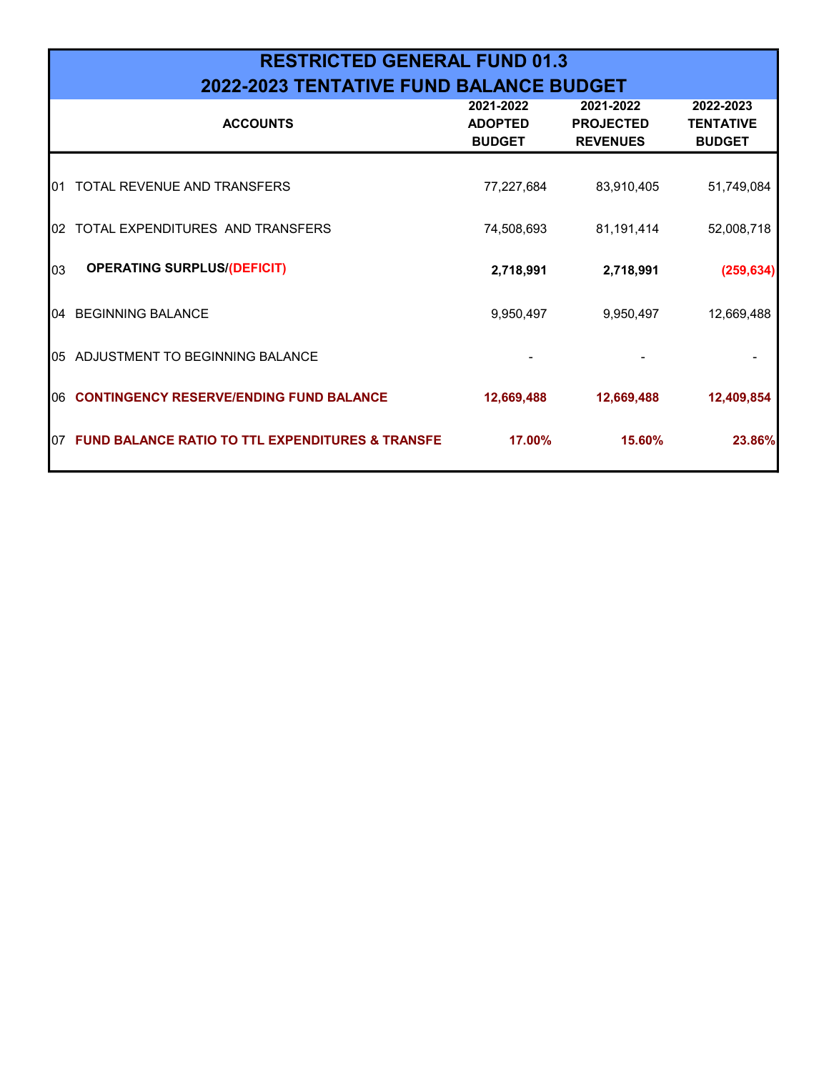|      | <b>RESTRICTED GENERAL FUND 01.3</b>                         |                                              |                                                  |                                                |  |  |  |
|------|-------------------------------------------------------------|----------------------------------------------|--------------------------------------------------|------------------------------------------------|--|--|--|
|      | 2022-2023 TENTATIVE FUND BALANCE BUDGET                     |                                              |                                                  |                                                |  |  |  |
|      | <b>ACCOUNTS</b>                                             | 2021-2022<br><b>ADOPTED</b><br><b>BUDGET</b> | 2021-2022<br><b>PROJECTED</b><br><b>REVENUES</b> | 2022-2023<br><b>TENTATIVE</b><br><b>BUDGET</b> |  |  |  |
| I01  | TOTAL REVENUE AND TRANSFERS                                 | 77,227,684                                   | 83,910,405                                       | 51,749,084                                     |  |  |  |
| 102  | TOTAL EXPENDITURES AND TRANSFERS                            | 74,508,693                                   | 81,191,414                                       | 52,008,718                                     |  |  |  |
| 03   | <b>OPERATING SURPLUS/(DEFICIT)</b>                          | 2,718,991                                    | 2,718,991                                        | (259, 634)                                     |  |  |  |
| 104  | <b>BEGINNING BALANCE</b>                                    | 9,950,497                                    | 9,950,497                                        | 12,669,488                                     |  |  |  |
|      | 05 ADJUSTMENT TO BEGINNING BALANCE                          |                                              |                                                  |                                                |  |  |  |
| I06. | <b>CONTINGENCY RESERVE/ENDING FUND BALANCE</b>              | 12,669,488                                   | 12,669,488                                       | 12,409,854                                     |  |  |  |
| 107  | <b>FUND BALANCE RATIO TO TTL EXPENDITURES &amp; TRANSFE</b> | 17.00%                                       | 15.60%                                           | 23.86%                                         |  |  |  |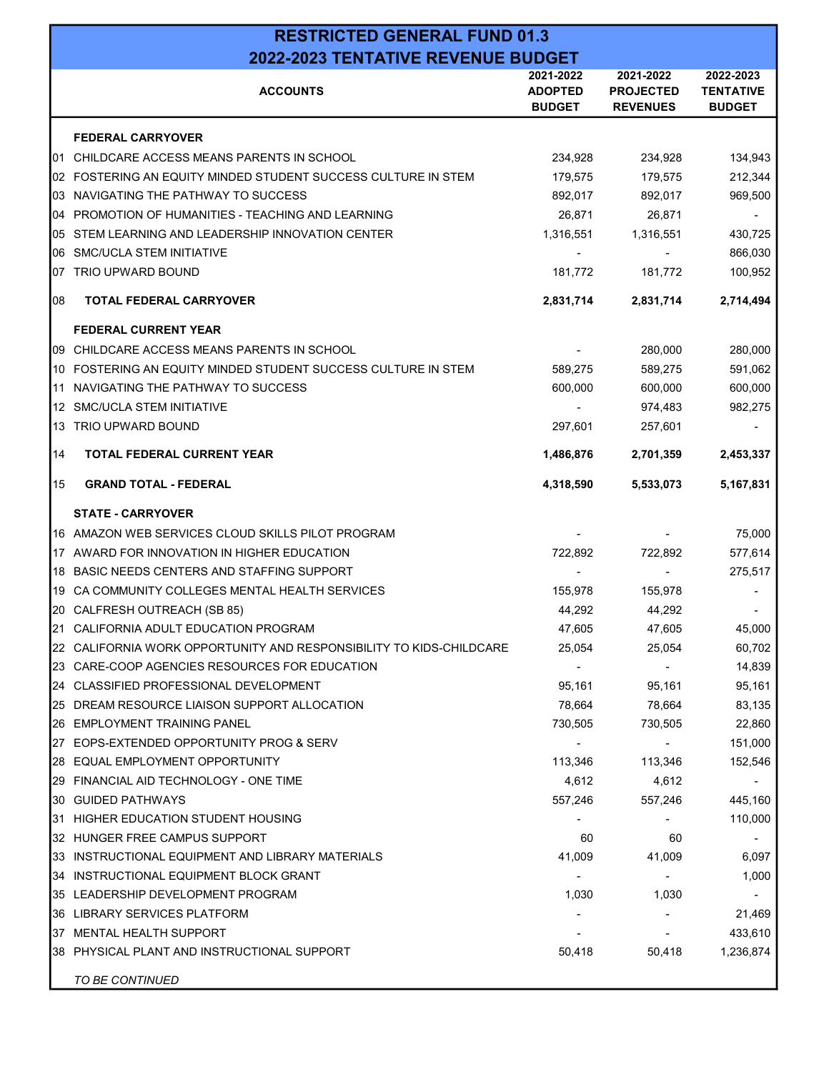|    | <b>RESTRICTED GENERAL FUND 01.3</b>                                 |                                              |                                                  |                                                |  |
|----|---------------------------------------------------------------------|----------------------------------------------|--------------------------------------------------|------------------------------------------------|--|
|    | 2022-2023 TENTATIVE REVENUE BUDGET                                  |                                              |                                                  |                                                |  |
|    | <b>ACCOUNTS</b>                                                     | 2021-2022<br><b>ADOPTED</b><br><b>BUDGET</b> | 2021-2022<br><b>PROJECTED</b><br><b>REVENUES</b> | 2022-2023<br><b>TENTATIVE</b><br><b>BUDGET</b> |  |
|    | <b>FEDERAL CARRYOVER</b>                                            |                                              |                                                  |                                                |  |
|    | 01 CHILDCARE ACCESS MEANS PARENTS IN SCHOOL                         | 234,928                                      | 234,928                                          | 134,943                                        |  |
|    | 02 FOSTERING AN EQUITY MINDED STUDENT SUCCESS CULTURE IN STEM       | 179,575                                      | 179,575                                          | 212,344                                        |  |
| 03 | NAVIGATING THE PATHWAY TO SUCCESS                                   | 892,017                                      | 892,017                                          | 969,500                                        |  |
| 04 | PROMOTION OF HUMANITIES - TEACHING AND LEARNING                     | 26,871                                       | 26,871                                           |                                                |  |
|    | 05 STEM LEARNING AND LEADERSHIP INNOVATION CENTER                   | 1,316,551                                    | 1,316,551                                        | 430,725                                        |  |
| 06 | SMC/UCLA STEM INITIATIVE                                            |                                              |                                                  | 866,030                                        |  |
|    | 07 TRIO UPWARD BOUND                                                | 181,772                                      | 181,772                                          | 100,952                                        |  |
| 08 | <b>TOTAL FEDERAL CARRYOVER</b>                                      | 2,831,714                                    | 2,831,714                                        | 2,714,494                                      |  |
|    | <b>FEDERAL CURRENT YEAR</b>                                         |                                              |                                                  |                                                |  |
|    | l09   CHILDCARE ACCESS MEANS PARENTS IN SCHOOL                      |                                              | 280,000                                          | 280,000                                        |  |
|    | 10 FOSTERING AN EQUITY MINDED STUDENT SUCCESS CULTURE IN STEM       | 589.275                                      | 589,275                                          | 591,062                                        |  |
| 11 | NAVIGATING THE PATHWAY TO SUCCESS                                   | 600,000                                      | 600,000                                          | 600,000                                        |  |
| 12 | SMC/UCLA STEM INITIATIVE                                            |                                              | 974,483                                          | 982,275                                        |  |
| 13 | TRIO UPWARD BOUND                                                   | 297,601                                      | 257,601                                          |                                                |  |
| 14 | <b>TOTAL FEDERAL CURRENT YEAR</b>                                   | 1,486,876                                    | 2,701,359                                        | 2,453,337                                      |  |
| 15 | <b>GRAND TOTAL - FEDERAL</b>                                        | 4,318,590                                    | 5,533,073                                        | 5,167,831                                      |  |
|    | <b>STATE - CARRYOVER</b>                                            |                                              |                                                  |                                                |  |
|    | 16 AMAZON WEB SERVICES CLOUD SKILLS PILOT PROGRAM                   |                                              |                                                  | 75,000                                         |  |
|    | 17 AWARD FOR INNOVATION IN HIGHER EDUCATION                         | 722.892                                      | 722,892                                          | 577,614                                        |  |
| 18 | BASIC NEEDS CENTERS AND STAFFING SUPPORT                            | $\blacksquare$                               |                                                  | 275,517                                        |  |
|    | 19 CA COMMUNITY COLLEGES MENTAL HEALTH SERVICES                     | 155,978                                      | 155,978                                          |                                                |  |
|    | 20 CALFRESH OUTREACH (SB 85)                                        | 44,292                                       | 44,292                                           |                                                |  |
|    | 21 CALIFORNIA ADULT EDUCATION PROGRAM                               | 47,605                                       | 47,605                                           | 45,000                                         |  |
|    | 22 CALIFORNIA WORK OPPORTUNITY AND RESPONSIBILITY TO KIDS-CHILDCARE | 25,054                                       | 25,054                                           | 60,702                                         |  |
|    | 23 CARE-COOP AGENCIES RESOURCES FOR EDUCATION                       | $\sim$                                       | $\sim$                                           | 14,839                                         |  |
|    | 24 CLASSIFIED PROFESSIONAL DEVELOPMENT                              | 95,161                                       | 95,161                                           | 95,161                                         |  |
|    | 25 DREAM RESOURCE LIAISON SUPPORT ALLOCATION                        | 78,664                                       | 78,664                                           | 83,135                                         |  |
|    | 26 EMPLOYMENT TRAINING PANEL                                        | 730,505                                      | 730,505                                          | 22,860                                         |  |
|    | 27 EOPS-EXTENDED OPPORTUNITY PROG & SERV                            | $\sim$                                       | $\sim$                                           | 151,000                                        |  |
|    | 28 EQUAL EMPLOYMENT OPPORTUNITY                                     | 113,346                                      | 113,346                                          | 152,546                                        |  |
|    | 29 FINANCIAL AID TECHNOLOGY - ONE TIME                              | 4,612                                        | 4,612                                            | $\sim$                                         |  |
|    | 30 GUIDED PATHWAYS                                                  | 557,246                                      | 557,246                                          | 445,160                                        |  |
|    | 31 HIGHER EDUCATION STUDENT HOUSING                                 |                                              |                                                  | 110,000                                        |  |
|    | 32 HUNGER FREE CAMPUS SUPPORT                                       | 60                                           | 60                                               |                                                |  |
|    | 33 INSTRUCTIONAL EQUIPMENT AND LIBRARY MATERIALS                    | 41,009                                       | 41,009                                           | 6,097                                          |  |
|    | 34 INSTRUCTIONAL EQUIPMENT BLOCK GRANT                              | ۰.                                           | $\sim$                                           | 1,000                                          |  |
|    | 35 LEADERSHIP DEVELOPMENT PROGRAM                                   | 1,030                                        | 1,030                                            |                                                |  |
|    | 36 LIBRARY SERVICES PLATFORM                                        |                                              |                                                  | 21,469                                         |  |
|    | 37 MENTAL HEALTH SUPPORT                                            |                                              |                                                  | 433,610                                        |  |
|    | 38 PHYSICAL PLANT AND INSTRUCTIONAL SUPPORT                         | 50,418                                       | 50,418                                           | 1,236,874                                      |  |
|    | <b>TO BE CONTINUED</b>                                              |                                              |                                                  |                                                |  |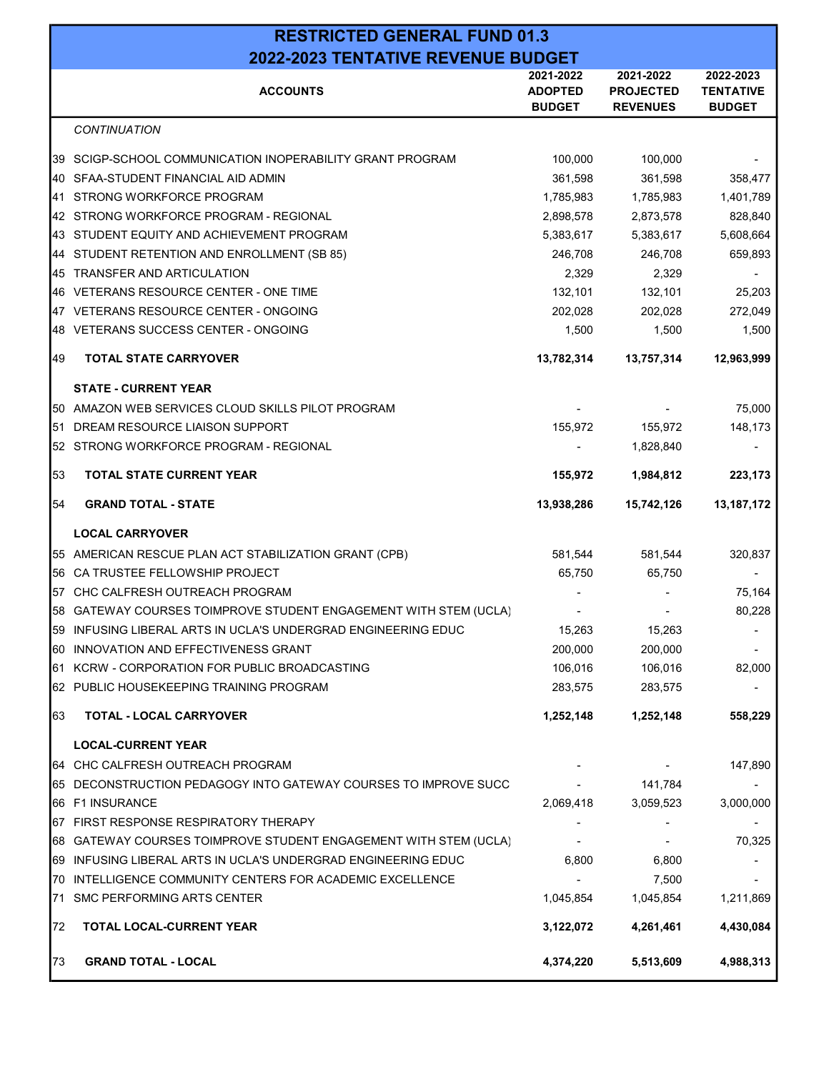|     | <b>RESTRICTED GENERAL FUND 01.3</b>                              |                                              |                                                  |                                                |  |  |
|-----|------------------------------------------------------------------|----------------------------------------------|--------------------------------------------------|------------------------------------------------|--|--|
|     | 2022-2023 TENTATIVE REVENUE BUDGET                               |                                              |                                                  |                                                |  |  |
|     | <b>ACCOUNTS</b>                                                  | 2021-2022<br><b>ADOPTED</b><br><b>BUDGET</b> | 2021-2022<br><b>PROJECTED</b><br><b>REVENUES</b> | 2022-2023<br><b>TENTATIVE</b><br><b>BUDGET</b> |  |  |
|     | <b>CONTINUATION</b>                                              |                                              |                                                  |                                                |  |  |
|     | 39 SCIGP-SCHOOL COMMUNICATION INOPERABILITY GRANT PROGRAM        | 100.000                                      | 100,000                                          |                                                |  |  |
|     | 40 SFAA-STUDENT FINANCIAL AID ADMIN                              | 361,598                                      | 361,598                                          | 358,477                                        |  |  |
| l41 | STRONG WORKFORCE PROGRAM                                         | 1,785,983                                    | 1,785,983                                        | 1,401,789                                      |  |  |
|     | 42 STRONG WORKFORCE PROGRAM - REGIONAL                           | 2,898,578                                    | 2,873,578                                        | 828,840                                        |  |  |
|     | 43 STUDENT EQUITY AND ACHIEVEMENT PROGRAM                        | 5,383,617                                    | 5,383,617                                        | 5,608,664                                      |  |  |
|     | 44 STUDENT RETENTION AND ENROLLMENT (SB 85)                      | 246,708                                      | 246,708                                          | 659,893                                        |  |  |
|     | 45 TRANSFER AND ARTICULATION                                     | 2,329                                        | 2,329                                            |                                                |  |  |
|     | 46 VETERANS RESOURCE CENTER - ONE TIME                           | 132,101                                      | 132,101                                          | 25,203                                         |  |  |
|     | 47 VETERANS RESOURCE CENTER - ONGOING                            | 202,028                                      | 202,028                                          | 272,049                                        |  |  |
|     | 48 VETERANS SUCCESS CENTER - ONGOING                             | 1,500                                        | 1,500                                            | 1,500                                          |  |  |
| 49  | <b>TOTAL STATE CARRYOVER</b>                                     | 13,782,314                                   | 13,757,314                                       | 12,963,999                                     |  |  |
|     | <b>STATE - CURRENT YEAR</b>                                      |                                              |                                                  |                                                |  |  |
|     | 50 AMAZON WEB SERVICES CLOUD SKILLS PILOT PROGRAM                |                                              |                                                  | 75,000                                         |  |  |
| 51  | DREAM RESOURCE LIAISON SUPPORT                                   | 155,972                                      | 155,972                                          | 148,173                                        |  |  |
|     | 52 STRONG WORKFORCE PROGRAM - REGIONAL                           |                                              | 1,828,840                                        |                                                |  |  |
| 53  | <b>TOTAL STATE CURRENT YEAR</b>                                  | 155,972                                      | 1,984,812                                        | 223,173                                        |  |  |
| 54  | <b>GRAND TOTAL - STATE</b>                                       | 13,938,286                                   | 15,742,126                                       | 13,187,172                                     |  |  |
|     | <b>LOCAL CARRYOVER</b>                                           |                                              |                                                  |                                                |  |  |
|     | 55 AMERICAN RESCUE PLAN ACT STABILIZATION GRANT (CPB)            | 581,544                                      | 581,544                                          | 320,837                                        |  |  |
|     | 56 CA TRUSTEE FELLOWSHIP PROJECT                                 | 65,750                                       | 65,750                                           |                                                |  |  |
|     | 57 CHC CALFRESH OUTREACH PROGRAM                                 |                                              |                                                  | 75,164                                         |  |  |
|     | 58 GATEWAY COURSES TOIMPROVE STUDENT ENGAGEMENT WITH STEM (UCLA) |                                              |                                                  | 80,228                                         |  |  |
|     | 59 INFUSING LIBERAL ARTS IN UCLA'S UNDERGRAD ENGINEERING EDUC    | 15,263                                       | 15,263                                           |                                                |  |  |
|     | 60 INNOVATION AND EFFECTIVENESS GRANT                            | 200,000                                      | 200,000                                          |                                                |  |  |
|     | 61 KCRW - CORPORATION FOR PUBLIC BROADCASTING                    | 106,016                                      | 106,016                                          | 82,000                                         |  |  |
|     | 62 PUBLIC HOUSEKEEPING TRAINING PROGRAM                          | 283,575                                      | 283,575                                          |                                                |  |  |
| 63  | <b>TOTAL - LOCAL CARRYOVER</b>                                   | 1,252,148                                    | 1,252,148                                        | 558,229                                        |  |  |
|     | <b>LOCAL-CURRENT YEAR</b>                                        |                                              |                                                  |                                                |  |  |
|     | 64 CHC CALFRESH OUTREACH PROGRAM                                 |                                              |                                                  | 147,890                                        |  |  |
|     | 65 DECONSTRUCTION PEDAGOGY INTO GATEWAY COURSES TO IMPROVE SUCC  |                                              | 141,784                                          |                                                |  |  |
|     | 66 F1 INSURANCE                                                  | 2,069,418                                    | 3,059,523                                        | 3,000,000                                      |  |  |
|     | 67 FIRST RESPONSE RESPIRATORY THERAPY                            |                                              |                                                  |                                                |  |  |
|     | 68 GATEWAY COURSES TOIMPROVE STUDENT ENGAGEMENT WITH STEM (UCLA) |                                              |                                                  | 70,325                                         |  |  |
|     | 69 INFUSING LIBERAL ARTS IN UCLA'S UNDERGRAD ENGINEERING EDUC    | 6,800                                        | 6,800                                            |                                                |  |  |
|     | 70 INTELLIGENCE COMMUNITY CENTERS FOR ACADEMIC EXCELLENCE        |                                              | 7,500                                            |                                                |  |  |
|     | 71 SMC PERFORMING ARTS CENTER                                    | 1,045,854                                    | 1,045,854                                        | 1,211,869                                      |  |  |
| 72  | <b>TOTAL LOCAL-CURRENT YEAR</b>                                  | 3,122,072                                    | 4,261,461                                        | 4,430,084                                      |  |  |
| 73  | <b>GRAND TOTAL - LOCAL</b>                                       | 4,374,220                                    | 5,513,609                                        | 4,988,313                                      |  |  |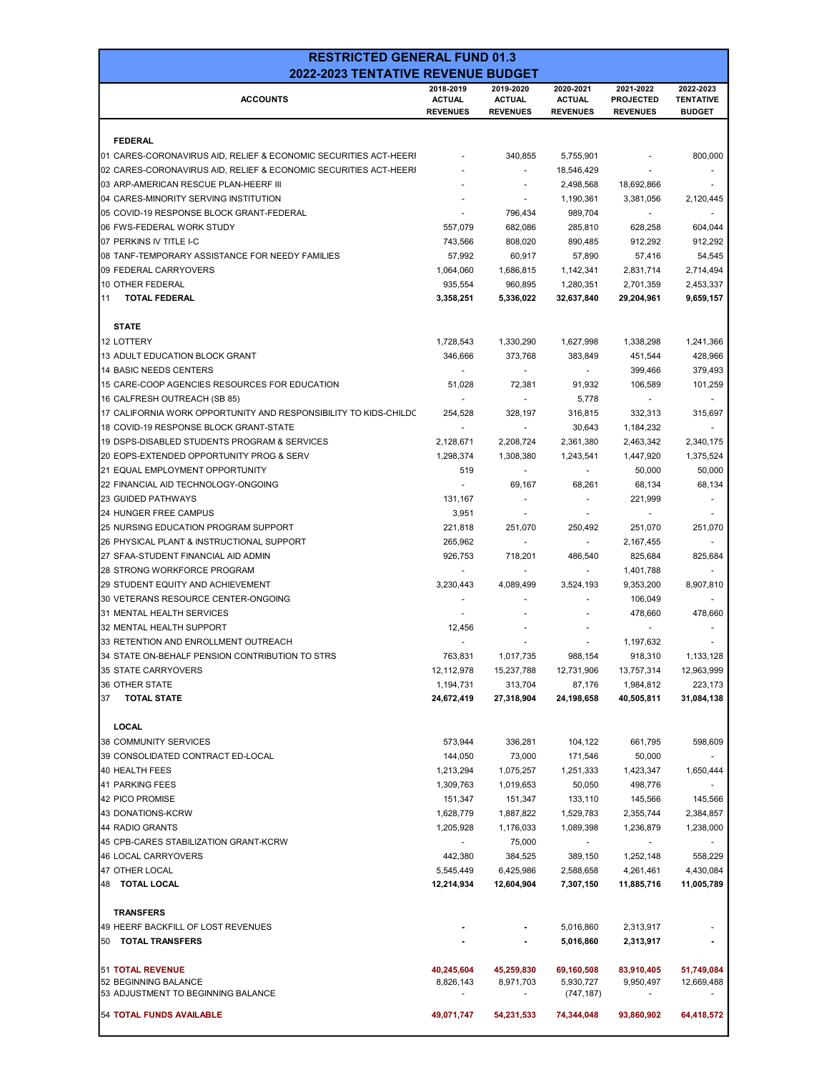| 2019-2020<br>2020-2021<br>2021-2022<br>2022-2023<br>2018-2019<br><b>ACCOUNTS</b><br><b>ACTUAL</b><br><b>ACTUAL</b><br><b>ACTUAL</b><br><b>PROJECTED</b><br><b>TENTATIVE</b><br><b>REVENUES</b><br><b>REVENUES</b><br><b>REVENUES</b><br><b>REVENUES</b><br><b>BUDGET</b><br><b>FEDERAL</b><br>340,855<br>800,000<br>01 CARES-CORONAVIRUS AID, RELIEF & ECONOMIC SECURITIES ACT-HEERI<br>5,755,901<br>02 CARES-CORONAVIRUS AID, RELIEF & ECONOMIC SECURITIES ACT-HEERI<br>18,546,429<br>$\mathbf{r}$<br>03 ARP-AMERICAN RESCUE PLAN-HEERF III<br>2,498,568<br>18,692,866<br>04 CARES-MINORITY SERVING INSTITUTION<br>1,190,361<br>3,381,056<br>2,120,445<br>٠<br>05 COVID-19 RESPONSE BLOCK GRANT-FEDERAL<br>796,434<br>989,704<br>06 FWS-FEDERAL WORK STUDY<br>557,079<br>682,086<br>604,044<br>285,810<br>628,258<br>07 PERKINS IV TITLE I-C<br>808,020<br>912,292<br>743,566<br>890,485<br>912,292<br>08 TANF-TEMPORARY ASSISTANCE FOR NEEDY FAMILIES<br>57,992<br>60,917<br>57,416<br>54,545<br>57,890<br>09 FEDERAL CARRYOVERS<br>2,714,494<br>1,064,060<br>1,686,815<br>1,142,341<br>2,831,714<br>10 OTHER FEDERAL<br>935,554<br>960,895<br>2,453,337<br>1,280,351<br>2,701,359<br>11<br><b>TOTAL FEDERAL</b><br>3,358,251<br>5,336,022<br>29,204,961<br>9,659,157<br>32,637,840<br><b>STATE</b><br>12 LOTTERY<br>1,728,543<br>1,330,290<br>1,627,998<br>1,338,298<br>1,241,366<br>13 ADULT EDUCATION BLOCK GRANT<br>428,966<br>346,666<br>373.768<br>383,849<br>451,544<br>14 BASIC NEEDS CENTERS<br>379,493<br>399,466<br>15 CARE-COOP AGENCIES RESOURCES FOR EDUCATION<br>51,028<br>72,381<br>91,932<br>106,589<br>101,259<br>16 CALFRESH OUTREACH (SB 85)<br>5,778<br>$\sim$<br>17 CALIFORNIA WORK OPPORTUNITY AND RESPONSIBILITY TO KIDS-CHILDC<br>332,313<br>254,528<br>328.197<br>316,815<br>315,697<br>18 COVID-19 RESPONSE BLOCK GRANT-STATE<br>30,643<br>1,184,232<br>$\tilde{\phantom{a}}$<br>19 DSPS-DISABLED STUDENTS PROGRAM & SERVICES<br>2,128,671<br>2,208,724<br>2,361,380<br>2,463,342<br>2,340,175<br>20 EOPS-EXTENDED OPPORTUNITY PROG & SERV<br>1,375,524<br>1,298,374<br>1,308,380<br>1,243,541<br>1,447,920<br>21 EQUAL EMPLOYMENT OPPORTUNITY<br>50,000<br>519<br>50,000<br>$\sim$<br>22 FINANCIAL AID TECHNOLOGY-ONGOING<br>68,134<br>69,167<br>68,261<br>68,134<br><b>23 GUIDED PATHWAYS</b><br>131,167<br>221,999<br>$\overline{\phantom{a}}$<br>$\overline{\phantom{a}}$<br><b>24 HUNGER FREE CAMPUS</b><br>3,951<br>25 NURSING EDUCATION PROGRAM SUPPORT<br>221,818<br>251,070<br>250,492<br>251,070<br>251,070<br>26 PHYSICAL PLANT & INSTRUCTIONAL SUPPORT<br>265,962<br>2,167,455<br>27 SFAA-STUDENT FINANCIAL AID ADMIN<br>718,201<br>486,540<br>825,684<br>825,684<br>926,753<br>28 STRONG WORKFORCE PROGRAM<br>1,401,788<br>29 STUDENT EQUITY AND ACHIEVEMENT<br>3,230,443<br>3,524,193<br>8,907,810<br>4,089,499<br>9,353,200<br>30 VETERANS RESOURCE CENTER-ONGOING<br>106,049<br>478,660<br>31 MENTAL HEALTH SERVICES<br>478,660<br>32 MENTAL HEALTH SUPPORT<br>12,456<br>33 RETENTION AND ENROLLMENT OUTREACH<br>1,197,632<br>34 STATE ON-BEHALF PENSION CONTRIBUTION TO STRS<br>763,831<br>1,133,128<br>1,017,735<br>988,154<br>918,310<br>35 STATE CARRYOVERS<br>12,963,999<br>12,112,978<br>15,237,788<br>12,731,906<br>13,757,314<br>223,173<br>36 OTHER STATE<br>1,194,731<br>313,704<br>87,176<br>1,984,812<br><b>TOTAL STATE</b><br>31,084,138<br>37<br>24,672,419<br>27,318,904<br>24,198,658<br>40,505,811<br><b>LOCAL</b><br><b>38 COMMUNITY SERVICES</b><br>573,944<br>336,281<br>104,122<br>661,795<br>598,609<br>39 CONSOLIDATED CONTRACT ED-LOCAL<br>73,000<br>144,050<br>171,546<br>50,000<br>1,650,444<br>40 HEALTH FEES<br>1,213,294<br>1,075,257<br>1,251,333<br>1,423,347<br>41 PARKING FEES<br>1,309,763<br>1,019,653<br>50,050<br>498,776<br>42 PICO PROMISE<br>151,347<br>151,347<br>133,110<br>145,566<br>145,566<br>43 DONATIONS-KCRW<br>1,628,779<br>1,887,822<br>1,529,783<br>2,355,744<br>2,384,857<br>44 RADIO GRANTS<br>1,176,033<br>1,238,000<br>1,205,928<br>1,089,398<br>1,236,879<br>45 CPB-CARES STABILIZATION GRANT-KCRW<br>75,000<br>$\overline{\phantom{a}}$<br>$\blacksquare$<br>$\overline{\phantom{a}}$<br>46 LOCAL CARRYOVERS<br>384,525<br>442,380<br>389,150<br>1,252,148<br>558,229<br>47 OTHER LOCAL<br>6,425,986<br>4,430,084<br>5,545,449<br>2,588,658<br>4,261,461<br>48 TOTAL LOCAL<br>11,005,789<br>12,214,934<br>12,604,904<br>7,307,150<br>11,885,716<br><b>TRANSFERS</b><br>49 HEERF BACKFILL OF LOST REVENUES<br>5,016,860<br>2,313,917<br>50 TOTAL TRANSFERS<br>5,016,860<br>2,313,917<br>51 TOTAL REVENUE<br>40,245,604<br>45,259,830<br>69,160,508<br>83,910,405<br>51,749,084<br>52 BEGINNING BALANCE<br>12,669,488<br>8,826,143<br>8,971,703<br>5,930,727<br>9,950,497<br>53 ADJUSTMENT TO BEGINNING BALANCE<br>(747, 187)<br>54 TOTAL FUNDS AVAILABLE<br>93,860,902<br>49,071,747<br>54,231,533<br>74,344,048<br>64,418,572 | <b>RESTRICTED GENERAL FUND 01.3</b><br>2022-2023 TENTATIVE REVENUE BUDGET |  |  |  |  |  |  |  |  |  |  |
|--------------------------------------------------------------------------------------------------------------------------------------------------------------------------------------------------------------------------------------------------------------------------------------------------------------------------------------------------------------------------------------------------------------------------------------------------------------------------------------------------------------------------------------------------------------------------------------------------------------------------------------------------------------------------------------------------------------------------------------------------------------------------------------------------------------------------------------------------------------------------------------------------------------------------------------------------------------------------------------------------------------------------------------------------------------------------------------------------------------------------------------------------------------------------------------------------------------------------------------------------------------------------------------------------------------------------------------------------------------------------------------------------------------------------------------------------------------------------------------------------------------------------------------------------------------------------------------------------------------------------------------------------------------------------------------------------------------------------------------------------------------------------------------------------------------------------------------------------------------------------------------------------------------------------------------------------------------------------------------------------------------------------------------------------------------------------------------------------------------------------------------------------------------------------------------------------------------------------------------------------------------------------------------------------------------------------------------------------------------------------------------------------------------------------------------------------------------------------------------------------------------------------------------------------------------------------------------------------------------------------------------------------------------------------------------------------------------------------------------------------------------------------------------------------------------------------------------------------------------------------------------------------------------------------------------------------------------------------------------------------------------------------------------------------------------------------------------------------------------------------------------------------------------------------------------------------------------------------------------------------------------------------------------------------------------------------------------------------------------------------------------------------------------------------------------------------------------------------------------------------------------------------------------------------------------------------------------------------------------------------------------------------------------------------------------------------------------------------------------------------------------------------------------------------------------------------------------------------------------------------------------------------------------------------------------------------------------------------------------------------------------------------------------------------------------------------------------------------------------------------------------------------------------------------------------------------------------------------------------------------------------------------------------------------------------------------------------------------------------------------------------------------------------------------------------------------------------------------------------------------------------------------------------------------------------------------------------------------------------------------------------------------------------------------------------------------------------------------------------------------------------------------------------------------------------------------------------------------------------------------------------------------------------------------------------|---------------------------------------------------------------------------|--|--|--|--|--|--|--|--|--|--|
|                                                                                                                                                                                                                                                                                                                                                                                                                                                                                                                                                                                                                                                                                                                                                                                                                                                                                                                                                                                                                                                                                                                                                                                                                                                                                                                                                                                                                                                                                                                                                                                                                                                                                                                                                                                                                                                                                                                                                                                                                                                                                                                                                                                                                                                                                                                                                                                                                                                                                                                                                                                                                                                                                                                                                                                                                                                                                                                                                                                                                                                                                                                                                                                                                                                                                                                                                                                                                                                                                                                                                                                                                                                                                                                                                                                                                                                                                                                                                                                                                                                                                                                                                                                                                                                                                                                                                                                                                                                                                                                                                                                                                                                                                                                                                                                                                                                                                                                                      |                                                                           |  |  |  |  |  |  |  |  |  |  |
|                                                                                                                                                                                                                                                                                                                                                                                                                                                                                                                                                                                                                                                                                                                                                                                                                                                                                                                                                                                                                                                                                                                                                                                                                                                                                                                                                                                                                                                                                                                                                                                                                                                                                                                                                                                                                                                                                                                                                                                                                                                                                                                                                                                                                                                                                                                                                                                                                                                                                                                                                                                                                                                                                                                                                                                                                                                                                                                                                                                                                                                                                                                                                                                                                                                                                                                                                                                                                                                                                                                                                                                                                                                                                                                                                                                                                                                                                                                                                                                                                                                                                                                                                                                                                                                                                                                                                                                                                                                                                                                                                                                                                                                                                                                                                                                                                                                                                                                                      |                                                                           |  |  |  |  |  |  |  |  |  |  |
|                                                                                                                                                                                                                                                                                                                                                                                                                                                                                                                                                                                                                                                                                                                                                                                                                                                                                                                                                                                                                                                                                                                                                                                                                                                                                                                                                                                                                                                                                                                                                                                                                                                                                                                                                                                                                                                                                                                                                                                                                                                                                                                                                                                                                                                                                                                                                                                                                                                                                                                                                                                                                                                                                                                                                                                                                                                                                                                                                                                                                                                                                                                                                                                                                                                                                                                                                                                                                                                                                                                                                                                                                                                                                                                                                                                                                                                                                                                                                                                                                                                                                                                                                                                                                                                                                                                                                                                                                                                                                                                                                                                                                                                                                                                                                                                                                                                                                                                                      |                                                                           |  |  |  |  |  |  |  |  |  |  |
|                                                                                                                                                                                                                                                                                                                                                                                                                                                                                                                                                                                                                                                                                                                                                                                                                                                                                                                                                                                                                                                                                                                                                                                                                                                                                                                                                                                                                                                                                                                                                                                                                                                                                                                                                                                                                                                                                                                                                                                                                                                                                                                                                                                                                                                                                                                                                                                                                                                                                                                                                                                                                                                                                                                                                                                                                                                                                                                                                                                                                                                                                                                                                                                                                                                                                                                                                                                                                                                                                                                                                                                                                                                                                                                                                                                                                                                                                                                                                                                                                                                                                                                                                                                                                                                                                                                                                                                                                                                                                                                                                                                                                                                                                                                                                                                                                                                                                                                                      |                                                                           |  |  |  |  |  |  |  |  |  |  |
|                                                                                                                                                                                                                                                                                                                                                                                                                                                                                                                                                                                                                                                                                                                                                                                                                                                                                                                                                                                                                                                                                                                                                                                                                                                                                                                                                                                                                                                                                                                                                                                                                                                                                                                                                                                                                                                                                                                                                                                                                                                                                                                                                                                                                                                                                                                                                                                                                                                                                                                                                                                                                                                                                                                                                                                                                                                                                                                                                                                                                                                                                                                                                                                                                                                                                                                                                                                                                                                                                                                                                                                                                                                                                                                                                                                                                                                                                                                                                                                                                                                                                                                                                                                                                                                                                                                                                                                                                                                                                                                                                                                                                                                                                                                                                                                                                                                                                                                                      |                                                                           |  |  |  |  |  |  |  |  |  |  |
|                                                                                                                                                                                                                                                                                                                                                                                                                                                                                                                                                                                                                                                                                                                                                                                                                                                                                                                                                                                                                                                                                                                                                                                                                                                                                                                                                                                                                                                                                                                                                                                                                                                                                                                                                                                                                                                                                                                                                                                                                                                                                                                                                                                                                                                                                                                                                                                                                                                                                                                                                                                                                                                                                                                                                                                                                                                                                                                                                                                                                                                                                                                                                                                                                                                                                                                                                                                                                                                                                                                                                                                                                                                                                                                                                                                                                                                                                                                                                                                                                                                                                                                                                                                                                                                                                                                                                                                                                                                                                                                                                                                                                                                                                                                                                                                                                                                                                                                                      |                                                                           |  |  |  |  |  |  |  |  |  |  |
|                                                                                                                                                                                                                                                                                                                                                                                                                                                                                                                                                                                                                                                                                                                                                                                                                                                                                                                                                                                                                                                                                                                                                                                                                                                                                                                                                                                                                                                                                                                                                                                                                                                                                                                                                                                                                                                                                                                                                                                                                                                                                                                                                                                                                                                                                                                                                                                                                                                                                                                                                                                                                                                                                                                                                                                                                                                                                                                                                                                                                                                                                                                                                                                                                                                                                                                                                                                                                                                                                                                                                                                                                                                                                                                                                                                                                                                                                                                                                                                                                                                                                                                                                                                                                                                                                                                                                                                                                                                                                                                                                                                                                                                                                                                                                                                                                                                                                                                                      |                                                                           |  |  |  |  |  |  |  |  |  |  |
|                                                                                                                                                                                                                                                                                                                                                                                                                                                                                                                                                                                                                                                                                                                                                                                                                                                                                                                                                                                                                                                                                                                                                                                                                                                                                                                                                                                                                                                                                                                                                                                                                                                                                                                                                                                                                                                                                                                                                                                                                                                                                                                                                                                                                                                                                                                                                                                                                                                                                                                                                                                                                                                                                                                                                                                                                                                                                                                                                                                                                                                                                                                                                                                                                                                                                                                                                                                                                                                                                                                                                                                                                                                                                                                                                                                                                                                                                                                                                                                                                                                                                                                                                                                                                                                                                                                                                                                                                                                                                                                                                                                                                                                                                                                                                                                                                                                                                                                                      |                                                                           |  |  |  |  |  |  |  |  |  |  |
|                                                                                                                                                                                                                                                                                                                                                                                                                                                                                                                                                                                                                                                                                                                                                                                                                                                                                                                                                                                                                                                                                                                                                                                                                                                                                                                                                                                                                                                                                                                                                                                                                                                                                                                                                                                                                                                                                                                                                                                                                                                                                                                                                                                                                                                                                                                                                                                                                                                                                                                                                                                                                                                                                                                                                                                                                                                                                                                                                                                                                                                                                                                                                                                                                                                                                                                                                                                                                                                                                                                                                                                                                                                                                                                                                                                                                                                                                                                                                                                                                                                                                                                                                                                                                                                                                                                                                                                                                                                                                                                                                                                                                                                                                                                                                                                                                                                                                                                                      |                                                                           |  |  |  |  |  |  |  |  |  |  |
|                                                                                                                                                                                                                                                                                                                                                                                                                                                                                                                                                                                                                                                                                                                                                                                                                                                                                                                                                                                                                                                                                                                                                                                                                                                                                                                                                                                                                                                                                                                                                                                                                                                                                                                                                                                                                                                                                                                                                                                                                                                                                                                                                                                                                                                                                                                                                                                                                                                                                                                                                                                                                                                                                                                                                                                                                                                                                                                                                                                                                                                                                                                                                                                                                                                                                                                                                                                                                                                                                                                                                                                                                                                                                                                                                                                                                                                                                                                                                                                                                                                                                                                                                                                                                                                                                                                                                                                                                                                                                                                                                                                                                                                                                                                                                                                                                                                                                                                                      |                                                                           |  |  |  |  |  |  |  |  |  |  |
|                                                                                                                                                                                                                                                                                                                                                                                                                                                                                                                                                                                                                                                                                                                                                                                                                                                                                                                                                                                                                                                                                                                                                                                                                                                                                                                                                                                                                                                                                                                                                                                                                                                                                                                                                                                                                                                                                                                                                                                                                                                                                                                                                                                                                                                                                                                                                                                                                                                                                                                                                                                                                                                                                                                                                                                                                                                                                                                                                                                                                                                                                                                                                                                                                                                                                                                                                                                                                                                                                                                                                                                                                                                                                                                                                                                                                                                                                                                                                                                                                                                                                                                                                                                                                                                                                                                                                                                                                                                                                                                                                                                                                                                                                                                                                                                                                                                                                                                                      |                                                                           |  |  |  |  |  |  |  |  |  |  |
|                                                                                                                                                                                                                                                                                                                                                                                                                                                                                                                                                                                                                                                                                                                                                                                                                                                                                                                                                                                                                                                                                                                                                                                                                                                                                                                                                                                                                                                                                                                                                                                                                                                                                                                                                                                                                                                                                                                                                                                                                                                                                                                                                                                                                                                                                                                                                                                                                                                                                                                                                                                                                                                                                                                                                                                                                                                                                                                                                                                                                                                                                                                                                                                                                                                                                                                                                                                                                                                                                                                                                                                                                                                                                                                                                                                                                                                                                                                                                                                                                                                                                                                                                                                                                                                                                                                                                                                                                                                                                                                                                                                                                                                                                                                                                                                                                                                                                                                                      |                                                                           |  |  |  |  |  |  |  |  |  |  |
|                                                                                                                                                                                                                                                                                                                                                                                                                                                                                                                                                                                                                                                                                                                                                                                                                                                                                                                                                                                                                                                                                                                                                                                                                                                                                                                                                                                                                                                                                                                                                                                                                                                                                                                                                                                                                                                                                                                                                                                                                                                                                                                                                                                                                                                                                                                                                                                                                                                                                                                                                                                                                                                                                                                                                                                                                                                                                                                                                                                                                                                                                                                                                                                                                                                                                                                                                                                                                                                                                                                                                                                                                                                                                                                                                                                                                                                                                                                                                                                                                                                                                                                                                                                                                                                                                                                                                                                                                                                                                                                                                                                                                                                                                                                                                                                                                                                                                                                                      |                                                                           |  |  |  |  |  |  |  |  |  |  |
|                                                                                                                                                                                                                                                                                                                                                                                                                                                                                                                                                                                                                                                                                                                                                                                                                                                                                                                                                                                                                                                                                                                                                                                                                                                                                                                                                                                                                                                                                                                                                                                                                                                                                                                                                                                                                                                                                                                                                                                                                                                                                                                                                                                                                                                                                                                                                                                                                                                                                                                                                                                                                                                                                                                                                                                                                                                                                                                                                                                                                                                                                                                                                                                                                                                                                                                                                                                                                                                                                                                                                                                                                                                                                                                                                                                                                                                                                                                                                                                                                                                                                                                                                                                                                                                                                                                                                                                                                                                                                                                                                                                                                                                                                                                                                                                                                                                                                                                                      |                                                                           |  |  |  |  |  |  |  |  |  |  |
|                                                                                                                                                                                                                                                                                                                                                                                                                                                                                                                                                                                                                                                                                                                                                                                                                                                                                                                                                                                                                                                                                                                                                                                                                                                                                                                                                                                                                                                                                                                                                                                                                                                                                                                                                                                                                                                                                                                                                                                                                                                                                                                                                                                                                                                                                                                                                                                                                                                                                                                                                                                                                                                                                                                                                                                                                                                                                                                                                                                                                                                                                                                                                                                                                                                                                                                                                                                                                                                                                                                                                                                                                                                                                                                                                                                                                                                                                                                                                                                                                                                                                                                                                                                                                                                                                                                                                                                                                                                                                                                                                                                                                                                                                                                                                                                                                                                                                                                                      |                                                                           |  |  |  |  |  |  |  |  |  |  |
|                                                                                                                                                                                                                                                                                                                                                                                                                                                                                                                                                                                                                                                                                                                                                                                                                                                                                                                                                                                                                                                                                                                                                                                                                                                                                                                                                                                                                                                                                                                                                                                                                                                                                                                                                                                                                                                                                                                                                                                                                                                                                                                                                                                                                                                                                                                                                                                                                                                                                                                                                                                                                                                                                                                                                                                                                                                                                                                                                                                                                                                                                                                                                                                                                                                                                                                                                                                                                                                                                                                                                                                                                                                                                                                                                                                                                                                                                                                                                                                                                                                                                                                                                                                                                                                                                                                                                                                                                                                                                                                                                                                                                                                                                                                                                                                                                                                                                                                                      |                                                                           |  |  |  |  |  |  |  |  |  |  |
|                                                                                                                                                                                                                                                                                                                                                                                                                                                                                                                                                                                                                                                                                                                                                                                                                                                                                                                                                                                                                                                                                                                                                                                                                                                                                                                                                                                                                                                                                                                                                                                                                                                                                                                                                                                                                                                                                                                                                                                                                                                                                                                                                                                                                                                                                                                                                                                                                                                                                                                                                                                                                                                                                                                                                                                                                                                                                                                                                                                                                                                                                                                                                                                                                                                                                                                                                                                                                                                                                                                                                                                                                                                                                                                                                                                                                                                                                                                                                                                                                                                                                                                                                                                                                                                                                                                                                                                                                                                                                                                                                                                                                                                                                                                                                                                                                                                                                                                                      |                                                                           |  |  |  |  |  |  |  |  |  |  |
|                                                                                                                                                                                                                                                                                                                                                                                                                                                                                                                                                                                                                                                                                                                                                                                                                                                                                                                                                                                                                                                                                                                                                                                                                                                                                                                                                                                                                                                                                                                                                                                                                                                                                                                                                                                                                                                                                                                                                                                                                                                                                                                                                                                                                                                                                                                                                                                                                                                                                                                                                                                                                                                                                                                                                                                                                                                                                                                                                                                                                                                                                                                                                                                                                                                                                                                                                                                                                                                                                                                                                                                                                                                                                                                                                                                                                                                                                                                                                                                                                                                                                                                                                                                                                                                                                                                                                                                                                                                                                                                                                                                                                                                                                                                                                                                                                                                                                                                                      |                                                                           |  |  |  |  |  |  |  |  |  |  |
|                                                                                                                                                                                                                                                                                                                                                                                                                                                                                                                                                                                                                                                                                                                                                                                                                                                                                                                                                                                                                                                                                                                                                                                                                                                                                                                                                                                                                                                                                                                                                                                                                                                                                                                                                                                                                                                                                                                                                                                                                                                                                                                                                                                                                                                                                                                                                                                                                                                                                                                                                                                                                                                                                                                                                                                                                                                                                                                                                                                                                                                                                                                                                                                                                                                                                                                                                                                                                                                                                                                                                                                                                                                                                                                                                                                                                                                                                                                                                                                                                                                                                                                                                                                                                                                                                                                                                                                                                                                                                                                                                                                                                                                                                                                                                                                                                                                                                                                                      |                                                                           |  |  |  |  |  |  |  |  |  |  |
|                                                                                                                                                                                                                                                                                                                                                                                                                                                                                                                                                                                                                                                                                                                                                                                                                                                                                                                                                                                                                                                                                                                                                                                                                                                                                                                                                                                                                                                                                                                                                                                                                                                                                                                                                                                                                                                                                                                                                                                                                                                                                                                                                                                                                                                                                                                                                                                                                                                                                                                                                                                                                                                                                                                                                                                                                                                                                                                                                                                                                                                                                                                                                                                                                                                                                                                                                                                                                                                                                                                                                                                                                                                                                                                                                                                                                                                                                                                                                                                                                                                                                                                                                                                                                                                                                                                                                                                                                                                                                                                                                                                                                                                                                                                                                                                                                                                                                                                                      |                                                                           |  |  |  |  |  |  |  |  |  |  |
|                                                                                                                                                                                                                                                                                                                                                                                                                                                                                                                                                                                                                                                                                                                                                                                                                                                                                                                                                                                                                                                                                                                                                                                                                                                                                                                                                                                                                                                                                                                                                                                                                                                                                                                                                                                                                                                                                                                                                                                                                                                                                                                                                                                                                                                                                                                                                                                                                                                                                                                                                                                                                                                                                                                                                                                                                                                                                                                                                                                                                                                                                                                                                                                                                                                                                                                                                                                                                                                                                                                                                                                                                                                                                                                                                                                                                                                                                                                                                                                                                                                                                                                                                                                                                                                                                                                                                                                                                                                                                                                                                                                                                                                                                                                                                                                                                                                                                                                                      |                                                                           |  |  |  |  |  |  |  |  |  |  |
|                                                                                                                                                                                                                                                                                                                                                                                                                                                                                                                                                                                                                                                                                                                                                                                                                                                                                                                                                                                                                                                                                                                                                                                                                                                                                                                                                                                                                                                                                                                                                                                                                                                                                                                                                                                                                                                                                                                                                                                                                                                                                                                                                                                                                                                                                                                                                                                                                                                                                                                                                                                                                                                                                                                                                                                                                                                                                                                                                                                                                                                                                                                                                                                                                                                                                                                                                                                                                                                                                                                                                                                                                                                                                                                                                                                                                                                                                                                                                                                                                                                                                                                                                                                                                                                                                                                                                                                                                                                                                                                                                                                                                                                                                                                                                                                                                                                                                                                                      |                                                                           |  |  |  |  |  |  |  |  |  |  |
|                                                                                                                                                                                                                                                                                                                                                                                                                                                                                                                                                                                                                                                                                                                                                                                                                                                                                                                                                                                                                                                                                                                                                                                                                                                                                                                                                                                                                                                                                                                                                                                                                                                                                                                                                                                                                                                                                                                                                                                                                                                                                                                                                                                                                                                                                                                                                                                                                                                                                                                                                                                                                                                                                                                                                                                                                                                                                                                                                                                                                                                                                                                                                                                                                                                                                                                                                                                                                                                                                                                                                                                                                                                                                                                                                                                                                                                                                                                                                                                                                                                                                                                                                                                                                                                                                                                                                                                                                                                                                                                                                                                                                                                                                                                                                                                                                                                                                                                                      |                                                                           |  |  |  |  |  |  |  |  |  |  |
|                                                                                                                                                                                                                                                                                                                                                                                                                                                                                                                                                                                                                                                                                                                                                                                                                                                                                                                                                                                                                                                                                                                                                                                                                                                                                                                                                                                                                                                                                                                                                                                                                                                                                                                                                                                                                                                                                                                                                                                                                                                                                                                                                                                                                                                                                                                                                                                                                                                                                                                                                                                                                                                                                                                                                                                                                                                                                                                                                                                                                                                                                                                                                                                                                                                                                                                                                                                                                                                                                                                                                                                                                                                                                                                                                                                                                                                                                                                                                                                                                                                                                                                                                                                                                                                                                                                                                                                                                                                                                                                                                                                                                                                                                                                                                                                                                                                                                                                                      |                                                                           |  |  |  |  |  |  |  |  |  |  |
|                                                                                                                                                                                                                                                                                                                                                                                                                                                                                                                                                                                                                                                                                                                                                                                                                                                                                                                                                                                                                                                                                                                                                                                                                                                                                                                                                                                                                                                                                                                                                                                                                                                                                                                                                                                                                                                                                                                                                                                                                                                                                                                                                                                                                                                                                                                                                                                                                                                                                                                                                                                                                                                                                                                                                                                                                                                                                                                                                                                                                                                                                                                                                                                                                                                                                                                                                                                                                                                                                                                                                                                                                                                                                                                                                                                                                                                                                                                                                                                                                                                                                                                                                                                                                                                                                                                                                                                                                                                                                                                                                                                                                                                                                                                                                                                                                                                                                                                                      |                                                                           |  |  |  |  |  |  |  |  |  |  |
|                                                                                                                                                                                                                                                                                                                                                                                                                                                                                                                                                                                                                                                                                                                                                                                                                                                                                                                                                                                                                                                                                                                                                                                                                                                                                                                                                                                                                                                                                                                                                                                                                                                                                                                                                                                                                                                                                                                                                                                                                                                                                                                                                                                                                                                                                                                                                                                                                                                                                                                                                                                                                                                                                                                                                                                                                                                                                                                                                                                                                                                                                                                                                                                                                                                                                                                                                                                                                                                                                                                                                                                                                                                                                                                                                                                                                                                                                                                                                                                                                                                                                                                                                                                                                                                                                                                                                                                                                                                                                                                                                                                                                                                                                                                                                                                                                                                                                                                                      |                                                                           |  |  |  |  |  |  |  |  |  |  |
|                                                                                                                                                                                                                                                                                                                                                                                                                                                                                                                                                                                                                                                                                                                                                                                                                                                                                                                                                                                                                                                                                                                                                                                                                                                                                                                                                                                                                                                                                                                                                                                                                                                                                                                                                                                                                                                                                                                                                                                                                                                                                                                                                                                                                                                                                                                                                                                                                                                                                                                                                                                                                                                                                                                                                                                                                                                                                                                                                                                                                                                                                                                                                                                                                                                                                                                                                                                                                                                                                                                                                                                                                                                                                                                                                                                                                                                                                                                                                                                                                                                                                                                                                                                                                                                                                                                                                                                                                                                                                                                                                                                                                                                                                                                                                                                                                                                                                                                                      |                                                                           |  |  |  |  |  |  |  |  |  |  |
|                                                                                                                                                                                                                                                                                                                                                                                                                                                                                                                                                                                                                                                                                                                                                                                                                                                                                                                                                                                                                                                                                                                                                                                                                                                                                                                                                                                                                                                                                                                                                                                                                                                                                                                                                                                                                                                                                                                                                                                                                                                                                                                                                                                                                                                                                                                                                                                                                                                                                                                                                                                                                                                                                                                                                                                                                                                                                                                                                                                                                                                                                                                                                                                                                                                                                                                                                                                                                                                                                                                                                                                                                                                                                                                                                                                                                                                                                                                                                                                                                                                                                                                                                                                                                                                                                                                                                                                                                                                                                                                                                                                                                                                                                                                                                                                                                                                                                                                                      |                                                                           |  |  |  |  |  |  |  |  |  |  |
|                                                                                                                                                                                                                                                                                                                                                                                                                                                                                                                                                                                                                                                                                                                                                                                                                                                                                                                                                                                                                                                                                                                                                                                                                                                                                                                                                                                                                                                                                                                                                                                                                                                                                                                                                                                                                                                                                                                                                                                                                                                                                                                                                                                                                                                                                                                                                                                                                                                                                                                                                                                                                                                                                                                                                                                                                                                                                                                                                                                                                                                                                                                                                                                                                                                                                                                                                                                                                                                                                                                                                                                                                                                                                                                                                                                                                                                                                                                                                                                                                                                                                                                                                                                                                                                                                                                                                                                                                                                                                                                                                                                                                                                                                                                                                                                                                                                                                                                                      |                                                                           |  |  |  |  |  |  |  |  |  |  |
|                                                                                                                                                                                                                                                                                                                                                                                                                                                                                                                                                                                                                                                                                                                                                                                                                                                                                                                                                                                                                                                                                                                                                                                                                                                                                                                                                                                                                                                                                                                                                                                                                                                                                                                                                                                                                                                                                                                                                                                                                                                                                                                                                                                                                                                                                                                                                                                                                                                                                                                                                                                                                                                                                                                                                                                                                                                                                                                                                                                                                                                                                                                                                                                                                                                                                                                                                                                                                                                                                                                                                                                                                                                                                                                                                                                                                                                                                                                                                                                                                                                                                                                                                                                                                                                                                                                                                                                                                                                                                                                                                                                                                                                                                                                                                                                                                                                                                                                                      |                                                                           |  |  |  |  |  |  |  |  |  |  |
|                                                                                                                                                                                                                                                                                                                                                                                                                                                                                                                                                                                                                                                                                                                                                                                                                                                                                                                                                                                                                                                                                                                                                                                                                                                                                                                                                                                                                                                                                                                                                                                                                                                                                                                                                                                                                                                                                                                                                                                                                                                                                                                                                                                                                                                                                                                                                                                                                                                                                                                                                                                                                                                                                                                                                                                                                                                                                                                                                                                                                                                                                                                                                                                                                                                                                                                                                                                                                                                                                                                                                                                                                                                                                                                                                                                                                                                                                                                                                                                                                                                                                                                                                                                                                                                                                                                                                                                                                                                                                                                                                                                                                                                                                                                                                                                                                                                                                                                                      |                                                                           |  |  |  |  |  |  |  |  |  |  |
|                                                                                                                                                                                                                                                                                                                                                                                                                                                                                                                                                                                                                                                                                                                                                                                                                                                                                                                                                                                                                                                                                                                                                                                                                                                                                                                                                                                                                                                                                                                                                                                                                                                                                                                                                                                                                                                                                                                                                                                                                                                                                                                                                                                                                                                                                                                                                                                                                                                                                                                                                                                                                                                                                                                                                                                                                                                                                                                                                                                                                                                                                                                                                                                                                                                                                                                                                                                                                                                                                                                                                                                                                                                                                                                                                                                                                                                                                                                                                                                                                                                                                                                                                                                                                                                                                                                                                                                                                                                                                                                                                                                                                                                                                                                                                                                                                                                                                                                                      |                                                                           |  |  |  |  |  |  |  |  |  |  |
|                                                                                                                                                                                                                                                                                                                                                                                                                                                                                                                                                                                                                                                                                                                                                                                                                                                                                                                                                                                                                                                                                                                                                                                                                                                                                                                                                                                                                                                                                                                                                                                                                                                                                                                                                                                                                                                                                                                                                                                                                                                                                                                                                                                                                                                                                                                                                                                                                                                                                                                                                                                                                                                                                                                                                                                                                                                                                                                                                                                                                                                                                                                                                                                                                                                                                                                                                                                                                                                                                                                                                                                                                                                                                                                                                                                                                                                                                                                                                                                                                                                                                                                                                                                                                                                                                                                                                                                                                                                                                                                                                                                                                                                                                                                                                                                                                                                                                                                                      |                                                                           |  |  |  |  |  |  |  |  |  |  |
|                                                                                                                                                                                                                                                                                                                                                                                                                                                                                                                                                                                                                                                                                                                                                                                                                                                                                                                                                                                                                                                                                                                                                                                                                                                                                                                                                                                                                                                                                                                                                                                                                                                                                                                                                                                                                                                                                                                                                                                                                                                                                                                                                                                                                                                                                                                                                                                                                                                                                                                                                                                                                                                                                                                                                                                                                                                                                                                                                                                                                                                                                                                                                                                                                                                                                                                                                                                                                                                                                                                                                                                                                                                                                                                                                                                                                                                                                                                                                                                                                                                                                                                                                                                                                                                                                                                                                                                                                                                                                                                                                                                                                                                                                                                                                                                                                                                                                                                                      |                                                                           |  |  |  |  |  |  |  |  |  |  |
|                                                                                                                                                                                                                                                                                                                                                                                                                                                                                                                                                                                                                                                                                                                                                                                                                                                                                                                                                                                                                                                                                                                                                                                                                                                                                                                                                                                                                                                                                                                                                                                                                                                                                                                                                                                                                                                                                                                                                                                                                                                                                                                                                                                                                                                                                                                                                                                                                                                                                                                                                                                                                                                                                                                                                                                                                                                                                                                                                                                                                                                                                                                                                                                                                                                                                                                                                                                                                                                                                                                                                                                                                                                                                                                                                                                                                                                                                                                                                                                                                                                                                                                                                                                                                                                                                                                                                                                                                                                                                                                                                                                                                                                                                                                                                                                                                                                                                                                                      |                                                                           |  |  |  |  |  |  |  |  |  |  |
|                                                                                                                                                                                                                                                                                                                                                                                                                                                                                                                                                                                                                                                                                                                                                                                                                                                                                                                                                                                                                                                                                                                                                                                                                                                                                                                                                                                                                                                                                                                                                                                                                                                                                                                                                                                                                                                                                                                                                                                                                                                                                                                                                                                                                                                                                                                                                                                                                                                                                                                                                                                                                                                                                                                                                                                                                                                                                                                                                                                                                                                                                                                                                                                                                                                                                                                                                                                                                                                                                                                                                                                                                                                                                                                                                                                                                                                                                                                                                                                                                                                                                                                                                                                                                                                                                                                                                                                                                                                                                                                                                                                                                                                                                                                                                                                                                                                                                                                                      |                                                                           |  |  |  |  |  |  |  |  |  |  |
|                                                                                                                                                                                                                                                                                                                                                                                                                                                                                                                                                                                                                                                                                                                                                                                                                                                                                                                                                                                                                                                                                                                                                                                                                                                                                                                                                                                                                                                                                                                                                                                                                                                                                                                                                                                                                                                                                                                                                                                                                                                                                                                                                                                                                                                                                                                                                                                                                                                                                                                                                                                                                                                                                                                                                                                                                                                                                                                                                                                                                                                                                                                                                                                                                                                                                                                                                                                                                                                                                                                                                                                                                                                                                                                                                                                                                                                                                                                                                                                                                                                                                                                                                                                                                                                                                                                                                                                                                                                                                                                                                                                                                                                                                                                                                                                                                                                                                                                                      |                                                                           |  |  |  |  |  |  |  |  |  |  |
|                                                                                                                                                                                                                                                                                                                                                                                                                                                                                                                                                                                                                                                                                                                                                                                                                                                                                                                                                                                                                                                                                                                                                                                                                                                                                                                                                                                                                                                                                                                                                                                                                                                                                                                                                                                                                                                                                                                                                                                                                                                                                                                                                                                                                                                                                                                                                                                                                                                                                                                                                                                                                                                                                                                                                                                                                                                                                                                                                                                                                                                                                                                                                                                                                                                                                                                                                                                                                                                                                                                                                                                                                                                                                                                                                                                                                                                                                                                                                                                                                                                                                                                                                                                                                                                                                                                                                                                                                                                                                                                                                                                                                                                                                                                                                                                                                                                                                                                                      |                                                                           |  |  |  |  |  |  |  |  |  |  |
|                                                                                                                                                                                                                                                                                                                                                                                                                                                                                                                                                                                                                                                                                                                                                                                                                                                                                                                                                                                                                                                                                                                                                                                                                                                                                                                                                                                                                                                                                                                                                                                                                                                                                                                                                                                                                                                                                                                                                                                                                                                                                                                                                                                                                                                                                                                                                                                                                                                                                                                                                                                                                                                                                                                                                                                                                                                                                                                                                                                                                                                                                                                                                                                                                                                                                                                                                                                                                                                                                                                                                                                                                                                                                                                                                                                                                                                                                                                                                                                                                                                                                                                                                                                                                                                                                                                                                                                                                                                                                                                                                                                                                                                                                                                                                                                                                                                                                                                                      |                                                                           |  |  |  |  |  |  |  |  |  |  |
|                                                                                                                                                                                                                                                                                                                                                                                                                                                                                                                                                                                                                                                                                                                                                                                                                                                                                                                                                                                                                                                                                                                                                                                                                                                                                                                                                                                                                                                                                                                                                                                                                                                                                                                                                                                                                                                                                                                                                                                                                                                                                                                                                                                                                                                                                                                                                                                                                                                                                                                                                                                                                                                                                                                                                                                                                                                                                                                                                                                                                                                                                                                                                                                                                                                                                                                                                                                                                                                                                                                                                                                                                                                                                                                                                                                                                                                                                                                                                                                                                                                                                                                                                                                                                                                                                                                                                                                                                                                                                                                                                                                                                                                                                                                                                                                                                                                                                                                                      |                                                                           |  |  |  |  |  |  |  |  |  |  |
|                                                                                                                                                                                                                                                                                                                                                                                                                                                                                                                                                                                                                                                                                                                                                                                                                                                                                                                                                                                                                                                                                                                                                                                                                                                                                                                                                                                                                                                                                                                                                                                                                                                                                                                                                                                                                                                                                                                                                                                                                                                                                                                                                                                                                                                                                                                                                                                                                                                                                                                                                                                                                                                                                                                                                                                                                                                                                                                                                                                                                                                                                                                                                                                                                                                                                                                                                                                                                                                                                                                                                                                                                                                                                                                                                                                                                                                                                                                                                                                                                                                                                                                                                                                                                                                                                                                                                                                                                                                                                                                                                                                                                                                                                                                                                                                                                                                                                                                                      |                                                                           |  |  |  |  |  |  |  |  |  |  |
|                                                                                                                                                                                                                                                                                                                                                                                                                                                                                                                                                                                                                                                                                                                                                                                                                                                                                                                                                                                                                                                                                                                                                                                                                                                                                                                                                                                                                                                                                                                                                                                                                                                                                                                                                                                                                                                                                                                                                                                                                                                                                                                                                                                                                                                                                                                                                                                                                                                                                                                                                                                                                                                                                                                                                                                                                                                                                                                                                                                                                                                                                                                                                                                                                                                                                                                                                                                                                                                                                                                                                                                                                                                                                                                                                                                                                                                                                                                                                                                                                                                                                                                                                                                                                                                                                                                                                                                                                                                                                                                                                                                                                                                                                                                                                                                                                                                                                                                                      |                                                                           |  |  |  |  |  |  |  |  |  |  |
|                                                                                                                                                                                                                                                                                                                                                                                                                                                                                                                                                                                                                                                                                                                                                                                                                                                                                                                                                                                                                                                                                                                                                                                                                                                                                                                                                                                                                                                                                                                                                                                                                                                                                                                                                                                                                                                                                                                                                                                                                                                                                                                                                                                                                                                                                                                                                                                                                                                                                                                                                                                                                                                                                                                                                                                                                                                                                                                                                                                                                                                                                                                                                                                                                                                                                                                                                                                                                                                                                                                                                                                                                                                                                                                                                                                                                                                                                                                                                                                                                                                                                                                                                                                                                                                                                                                                                                                                                                                                                                                                                                                                                                                                                                                                                                                                                                                                                                                                      |                                                                           |  |  |  |  |  |  |  |  |  |  |
|                                                                                                                                                                                                                                                                                                                                                                                                                                                                                                                                                                                                                                                                                                                                                                                                                                                                                                                                                                                                                                                                                                                                                                                                                                                                                                                                                                                                                                                                                                                                                                                                                                                                                                                                                                                                                                                                                                                                                                                                                                                                                                                                                                                                                                                                                                                                                                                                                                                                                                                                                                                                                                                                                                                                                                                                                                                                                                                                                                                                                                                                                                                                                                                                                                                                                                                                                                                                                                                                                                                                                                                                                                                                                                                                                                                                                                                                                                                                                                                                                                                                                                                                                                                                                                                                                                                                                                                                                                                                                                                                                                                                                                                                                                                                                                                                                                                                                                                                      |                                                                           |  |  |  |  |  |  |  |  |  |  |
|                                                                                                                                                                                                                                                                                                                                                                                                                                                                                                                                                                                                                                                                                                                                                                                                                                                                                                                                                                                                                                                                                                                                                                                                                                                                                                                                                                                                                                                                                                                                                                                                                                                                                                                                                                                                                                                                                                                                                                                                                                                                                                                                                                                                                                                                                                                                                                                                                                                                                                                                                                                                                                                                                                                                                                                                                                                                                                                                                                                                                                                                                                                                                                                                                                                                                                                                                                                                                                                                                                                                                                                                                                                                                                                                                                                                                                                                                                                                                                                                                                                                                                                                                                                                                                                                                                                                                                                                                                                                                                                                                                                                                                                                                                                                                                                                                                                                                                                                      |                                                                           |  |  |  |  |  |  |  |  |  |  |
|                                                                                                                                                                                                                                                                                                                                                                                                                                                                                                                                                                                                                                                                                                                                                                                                                                                                                                                                                                                                                                                                                                                                                                                                                                                                                                                                                                                                                                                                                                                                                                                                                                                                                                                                                                                                                                                                                                                                                                                                                                                                                                                                                                                                                                                                                                                                                                                                                                                                                                                                                                                                                                                                                                                                                                                                                                                                                                                                                                                                                                                                                                                                                                                                                                                                                                                                                                                                                                                                                                                                                                                                                                                                                                                                                                                                                                                                                                                                                                                                                                                                                                                                                                                                                                                                                                                                                                                                                                                                                                                                                                                                                                                                                                                                                                                                                                                                                                                                      |                                                                           |  |  |  |  |  |  |  |  |  |  |
|                                                                                                                                                                                                                                                                                                                                                                                                                                                                                                                                                                                                                                                                                                                                                                                                                                                                                                                                                                                                                                                                                                                                                                                                                                                                                                                                                                                                                                                                                                                                                                                                                                                                                                                                                                                                                                                                                                                                                                                                                                                                                                                                                                                                                                                                                                                                                                                                                                                                                                                                                                                                                                                                                                                                                                                                                                                                                                                                                                                                                                                                                                                                                                                                                                                                                                                                                                                                                                                                                                                                                                                                                                                                                                                                                                                                                                                                                                                                                                                                                                                                                                                                                                                                                                                                                                                                                                                                                                                                                                                                                                                                                                                                                                                                                                                                                                                                                                                                      |                                                                           |  |  |  |  |  |  |  |  |  |  |
|                                                                                                                                                                                                                                                                                                                                                                                                                                                                                                                                                                                                                                                                                                                                                                                                                                                                                                                                                                                                                                                                                                                                                                                                                                                                                                                                                                                                                                                                                                                                                                                                                                                                                                                                                                                                                                                                                                                                                                                                                                                                                                                                                                                                                                                                                                                                                                                                                                                                                                                                                                                                                                                                                                                                                                                                                                                                                                                                                                                                                                                                                                                                                                                                                                                                                                                                                                                                                                                                                                                                                                                                                                                                                                                                                                                                                                                                                                                                                                                                                                                                                                                                                                                                                                                                                                                                                                                                                                                                                                                                                                                                                                                                                                                                                                                                                                                                                                                                      |                                                                           |  |  |  |  |  |  |  |  |  |  |
|                                                                                                                                                                                                                                                                                                                                                                                                                                                                                                                                                                                                                                                                                                                                                                                                                                                                                                                                                                                                                                                                                                                                                                                                                                                                                                                                                                                                                                                                                                                                                                                                                                                                                                                                                                                                                                                                                                                                                                                                                                                                                                                                                                                                                                                                                                                                                                                                                                                                                                                                                                                                                                                                                                                                                                                                                                                                                                                                                                                                                                                                                                                                                                                                                                                                                                                                                                                                                                                                                                                                                                                                                                                                                                                                                                                                                                                                                                                                                                                                                                                                                                                                                                                                                                                                                                                                                                                                                                                                                                                                                                                                                                                                                                                                                                                                                                                                                                                                      |                                                                           |  |  |  |  |  |  |  |  |  |  |
|                                                                                                                                                                                                                                                                                                                                                                                                                                                                                                                                                                                                                                                                                                                                                                                                                                                                                                                                                                                                                                                                                                                                                                                                                                                                                                                                                                                                                                                                                                                                                                                                                                                                                                                                                                                                                                                                                                                                                                                                                                                                                                                                                                                                                                                                                                                                                                                                                                                                                                                                                                                                                                                                                                                                                                                                                                                                                                                                                                                                                                                                                                                                                                                                                                                                                                                                                                                                                                                                                                                                                                                                                                                                                                                                                                                                                                                                                                                                                                                                                                                                                                                                                                                                                                                                                                                                                                                                                                                                                                                                                                                                                                                                                                                                                                                                                                                                                                                                      |                                                                           |  |  |  |  |  |  |  |  |  |  |
|                                                                                                                                                                                                                                                                                                                                                                                                                                                                                                                                                                                                                                                                                                                                                                                                                                                                                                                                                                                                                                                                                                                                                                                                                                                                                                                                                                                                                                                                                                                                                                                                                                                                                                                                                                                                                                                                                                                                                                                                                                                                                                                                                                                                                                                                                                                                                                                                                                                                                                                                                                                                                                                                                                                                                                                                                                                                                                                                                                                                                                                                                                                                                                                                                                                                                                                                                                                                                                                                                                                                                                                                                                                                                                                                                                                                                                                                                                                                                                                                                                                                                                                                                                                                                                                                                                                                                                                                                                                                                                                                                                                                                                                                                                                                                                                                                                                                                                                                      |                                                                           |  |  |  |  |  |  |  |  |  |  |
|                                                                                                                                                                                                                                                                                                                                                                                                                                                                                                                                                                                                                                                                                                                                                                                                                                                                                                                                                                                                                                                                                                                                                                                                                                                                                                                                                                                                                                                                                                                                                                                                                                                                                                                                                                                                                                                                                                                                                                                                                                                                                                                                                                                                                                                                                                                                                                                                                                                                                                                                                                                                                                                                                                                                                                                                                                                                                                                                                                                                                                                                                                                                                                                                                                                                                                                                                                                                                                                                                                                                                                                                                                                                                                                                                                                                                                                                                                                                                                                                                                                                                                                                                                                                                                                                                                                                                                                                                                                                                                                                                                                                                                                                                                                                                                                                                                                                                                                                      |                                                                           |  |  |  |  |  |  |  |  |  |  |
|                                                                                                                                                                                                                                                                                                                                                                                                                                                                                                                                                                                                                                                                                                                                                                                                                                                                                                                                                                                                                                                                                                                                                                                                                                                                                                                                                                                                                                                                                                                                                                                                                                                                                                                                                                                                                                                                                                                                                                                                                                                                                                                                                                                                                                                                                                                                                                                                                                                                                                                                                                                                                                                                                                                                                                                                                                                                                                                                                                                                                                                                                                                                                                                                                                                                                                                                                                                                                                                                                                                                                                                                                                                                                                                                                                                                                                                                                                                                                                                                                                                                                                                                                                                                                                                                                                                                                                                                                                                                                                                                                                                                                                                                                                                                                                                                                                                                                                                                      |                                                                           |  |  |  |  |  |  |  |  |  |  |
|                                                                                                                                                                                                                                                                                                                                                                                                                                                                                                                                                                                                                                                                                                                                                                                                                                                                                                                                                                                                                                                                                                                                                                                                                                                                                                                                                                                                                                                                                                                                                                                                                                                                                                                                                                                                                                                                                                                                                                                                                                                                                                                                                                                                                                                                                                                                                                                                                                                                                                                                                                                                                                                                                                                                                                                                                                                                                                                                                                                                                                                                                                                                                                                                                                                                                                                                                                                                                                                                                                                                                                                                                                                                                                                                                                                                                                                                                                                                                                                                                                                                                                                                                                                                                                                                                                                                                                                                                                                                                                                                                                                                                                                                                                                                                                                                                                                                                                                                      |                                                                           |  |  |  |  |  |  |  |  |  |  |
|                                                                                                                                                                                                                                                                                                                                                                                                                                                                                                                                                                                                                                                                                                                                                                                                                                                                                                                                                                                                                                                                                                                                                                                                                                                                                                                                                                                                                                                                                                                                                                                                                                                                                                                                                                                                                                                                                                                                                                                                                                                                                                                                                                                                                                                                                                                                                                                                                                                                                                                                                                                                                                                                                                                                                                                                                                                                                                                                                                                                                                                                                                                                                                                                                                                                                                                                                                                                                                                                                                                                                                                                                                                                                                                                                                                                                                                                                                                                                                                                                                                                                                                                                                                                                                                                                                                                                                                                                                                                                                                                                                                                                                                                                                                                                                                                                                                                                                                                      |                                                                           |  |  |  |  |  |  |  |  |  |  |
|                                                                                                                                                                                                                                                                                                                                                                                                                                                                                                                                                                                                                                                                                                                                                                                                                                                                                                                                                                                                                                                                                                                                                                                                                                                                                                                                                                                                                                                                                                                                                                                                                                                                                                                                                                                                                                                                                                                                                                                                                                                                                                                                                                                                                                                                                                                                                                                                                                                                                                                                                                                                                                                                                                                                                                                                                                                                                                                                                                                                                                                                                                                                                                                                                                                                                                                                                                                                                                                                                                                                                                                                                                                                                                                                                                                                                                                                                                                                                                                                                                                                                                                                                                                                                                                                                                                                                                                                                                                                                                                                                                                                                                                                                                                                                                                                                                                                                                                                      |                                                                           |  |  |  |  |  |  |  |  |  |  |
|                                                                                                                                                                                                                                                                                                                                                                                                                                                                                                                                                                                                                                                                                                                                                                                                                                                                                                                                                                                                                                                                                                                                                                                                                                                                                                                                                                                                                                                                                                                                                                                                                                                                                                                                                                                                                                                                                                                                                                                                                                                                                                                                                                                                                                                                                                                                                                                                                                                                                                                                                                                                                                                                                                                                                                                                                                                                                                                                                                                                                                                                                                                                                                                                                                                                                                                                                                                                                                                                                                                                                                                                                                                                                                                                                                                                                                                                                                                                                                                                                                                                                                                                                                                                                                                                                                                                                                                                                                                                                                                                                                                                                                                                                                                                                                                                                                                                                                                                      |                                                                           |  |  |  |  |  |  |  |  |  |  |
|                                                                                                                                                                                                                                                                                                                                                                                                                                                                                                                                                                                                                                                                                                                                                                                                                                                                                                                                                                                                                                                                                                                                                                                                                                                                                                                                                                                                                                                                                                                                                                                                                                                                                                                                                                                                                                                                                                                                                                                                                                                                                                                                                                                                                                                                                                                                                                                                                                                                                                                                                                                                                                                                                                                                                                                                                                                                                                                                                                                                                                                                                                                                                                                                                                                                                                                                                                                                                                                                                                                                                                                                                                                                                                                                                                                                                                                                                                                                                                                                                                                                                                                                                                                                                                                                                                                                                                                                                                                                                                                                                                                                                                                                                                                                                                                                                                                                                                                                      |                                                                           |  |  |  |  |  |  |  |  |  |  |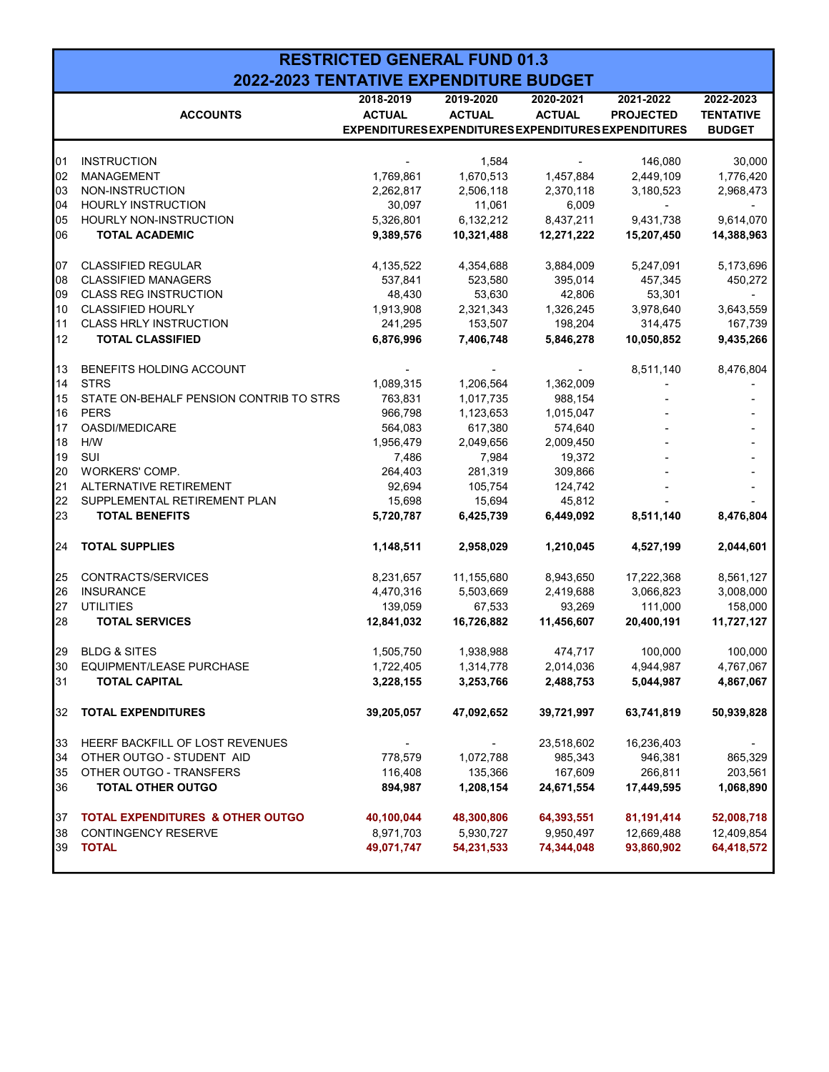|    |                                             | <b>RESTRICTED GENERAL FUND 01.3</b>                 |               |               |                          |                  |
|----|---------------------------------------------|-----------------------------------------------------|---------------|---------------|--------------------------|------------------|
|    | 2022-2023 TENTATIVE EXPENDITURE BUDGET      |                                                     |               |               |                          |                  |
|    |                                             | 2018-2019                                           | 2019-2020     | 2020-2021     | 2021-2022                | 2022-2023        |
|    | <b>ACCOUNTS</b>                             | <b>ACTUAL</b>                                       | <b>ACTUAL</b> | <b>ACTUAL</b> | <b>PROJECTED</b>         | <b>TENTATIVE</b> |
|    |                                             | EXPENDITURES EXPENDITURES EXPENDITURES EXPENDITURES |               |               |                          | <b>BUDGET</b>    |
|    |                                             |                                                     |               |               |                          |                  |
| 01 | <b>INSTRUCTION</b>                          |                                                     | 1,584         |               | 146,080                  | 30,000           |
| 02 | <b>MANAGEMENT</b>                           | 1,769,861                                           | 1,670,513     | 1,457,884     | 2,449,109                | 1,776,420        |
| 03 | NON-INSTRUCTION                             | 2,262,817                                           | 2,506,118     | 2,370,118     | 3,180,523                | 2,968,473        |
| 04 | <b>HOURLY INSTRUCTION</b>                   | 30,097                                              | 11,061        | 6,009         | $\overline{\phantom{a}}$ |                  |
| 05 | HOURLY NON-INSTRUCTION                      | 5,326,801                                           | 6,132,212     | 8,437,211     | 9,431,738                | 9,614,070        |
| 06 | <b>TOTAL ACADEMIC</b>                       | 9,389,576                                           | 10,321,488    | 12,271,222    | 15,207,450               | 14,388,963       |
| 07 | <b>CLASSIFIED REGULAR</b>                   | 4,135,522                                           | 4,354,688     | 3,884,009     | 5,247,091                | 5,173,696        |
| 08 | <b>CLASSIFIED MANAGERS</b>                  | 537,841                                             | 523,580       | 395,014       | 457,345                  | 450,272          |
| 09 | <b>CLASS REG INSTRUCTION</b>                | 48,430                                              | 53,630        | 42,806        | 53,301                   |                  |
| 10 | <b>CLASSIFIED HOURLY</b>                    | 1,913,908                                           | 2,321,343     | 1,326,245     | 3,978,640                | 3,643,559        |
| 11 | <b>CLASS HRLY INSTRUCTION</b>               | 241,295                                             | 153,507       | 198,204       | 314,475                  | 167,739          |
| 12 | <b>TOTAL CLASSIFIED</b>                     | 6,876,996                                           | 7,406,748     | 5,846,278     | 10,050,852               | 9,435,266        |
|    |                                             |                                                     |               |               |                          |                  |
| 13 | BENEFITS HOLDING ACCOUNT                    |                                                     |               |               | 8,511,140                | 8,476,804        |
| 14 | <b>STRS</b>                                 | 1,089,315                                           | 1,206,564     | 1,362,009     |                          |                  |
| 15 | STATE ON-BEHALF PENSION CONTRIB TO STRS     | 763,831                                             | 1,017,735     | 988,154       |                          |                  |
| 16 | <b>PERS</b>                                 | 966,798                                             | 1,123,653     | 1,015,047     |                          |                  |
| 17 | <b>OASDI/MEDICARE</b>                       | 564,083                                             | 617,380       | 574,640       |                          |                  |
| 18 | H/W                                         | 1,956,479                                           | 2,049,656     | 2,009,450     |                          |                  |
| 19 | SUI                                         | 7,486                                               | 7,984         | 19,372        |                          |                  |
| 20 | WORKERS' COMP.                              | 264,403                                             | 281,319       | 309,866       |                          |                  |
| 21 | ALTERNATIVE RETIREMENT                      | 92,694                                              | 105,754       | 124,742       |                          |                  |
| 22 | SUPPLEMENTAL RETIREMENT PLAN                | 15,698                                              | 15,694        | 45,812        |                          |                  |
| 23 | <b>TOTAL BENEFITS</b>                       | 5,720,787                                           | 6,425,739     | 6,449,092     | 8,511,140                | 8,476,804        |
| 24 | <b>TOTAL SUPPLIES</b>                       | 1,148,511                                           | 2,958,029     | 1,210,045     | 4,527,199                | 2,044,601        |
| 25 | CONTRACTS/SERVICES                          | 8,231,657                                           | 11,155,680    | 8,943,650     | 17,222,368               | 8,561,127        |
| 26 | <b>INSURANCE</b>                            | 4,470,316                                           | 5,503,669     | 2,419,688     | 3,066,823                | 3,008,000        |
| 27 | <b>UTILITIES</b>                            | 139,059                                             | 67,533        | 93,269        | 111,000                  | 158,000          |
| 28 | <b>TOTAL SERVICES</b>                       | 12,841,032                                          | 16,726,882    | 11,456,607    | 20,400,191               | 11,727,127       |
|    |                                             |                                                     |               |               |                          |                  |
| 29 | <b>BLDG &amp; SITES</b>                     | 1,505,750                                           | 1,938,988     | 474,717       | 100,000                  | 100,000          |
| 30 | <b>EQUIPMENT/LEASE PURCHASE</b>             | 1,722,405                                           | 1,314,778     | 2,014,036     | 4,944,987                | 4,767,067        |
| 31 | <b>TOTAL CAPITAL</b>                        | 3,228,155                                           | 3,253,766     | 2,488,753     | 5,044,987                | 4,867,067        |
| 32 | <b>TOTAL EXPENDITURES</b>                   | 39,205,057                                          | 47,092,652    | 39,721,997    | 63,741,819               | 50,939,828       |
| 33 | HEERF BACKFILL OF LOST REVENUES             |                                                     |               | 23,518,602    | 16,236,403               |                  |
| 34 | OTHER OUTGO - STUDENT AID                   | 778,579                                             | 1,072,788     | 985,343       | 946,381                  | 865,329          |
| 35 | OTHER OUTGO - TRANSFERS                     | 116,408                                             | 135,366       | 167,609       | 266,811                  | 203,561          |
| 36 | <b>TOTAL OTHER OUTGO</b>                    | 894,987                                             | 1,208,154     | 24,671,554    | 17,449,595               | 1,068,890        |
|    |                                             |                                                     |               |               |                          |                  |
| 37 | <b>TOTAL EXPENDITURES &amp; OTHER OUTGO</b> | 40,100,044                                          | 48,300,806    | 64,393,551    | 81,191,414               | 52,008,718       |
| 38 | <b>CONTINGENCY RESERVE</b>                  | 8,971,703                                           | 5,930,727     | 9,950,497     | 12,669,488               | 12,409,854       |
| 39 | <b>TOTAL</b>                                | 49,071,747                                          | 54,231,533    | 74,344,048    | 93,860,902               | 64,418,572       |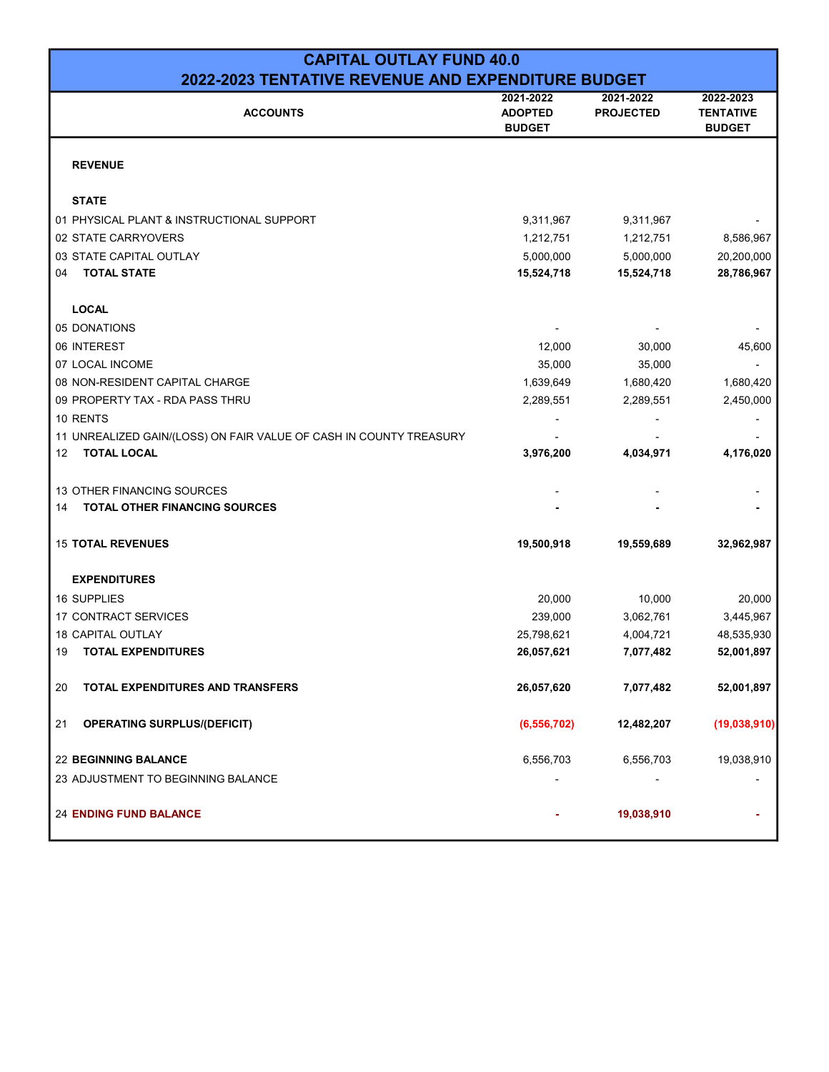| <b>CAPITAL OUTLAY FUND 40.0</b>                                    |                                              |                               |                                                |  |  |  |  |  |  |
|--------------------------------------------------------------------|----------------------------------------------|-------------------------------|------------------------------------------------|--|--|--|--|--|--|
| 2022-2023 TENTATIVE REVENUE AND EXPENDITURE BUDGET                 |                                              |                               |                                                |  |  |  |  |  |  |
| <b>ACCOUNTS</b>                                                    | 2021-2022<br><b>ADOPTED</b><br><b>BUDGET</b> | 2021-2022<br><b>PROJECTED</b> | 2022-2023<br><b>TENTATIVE</b><br><b>BUDGET</b> |  |  |  |  |  |  |
| <b>REVENUE</b>                                                     |                                              |                               |                                                |  |  |  |  |  |  |
| <b>STATE</b>                                                       |                                              |                               |                                                |  |  |  |  |  |  |
| 01 PHYSICAL PLANT & INSTRUCTIONAL SUPPORT                          | 9,311,967                                    | 9,311,967                     |                                                |  |  |  |  |  |  |
| 02 STATE CARRYOVERS                                                | 1,212,751                                    | 1,212,751                     | 8,586,967                                      |  |  |  |  |  |  |
| 03 STATE CAPITAL OUTLAY                                            | 5,000,000                                    | 5,000,000                     | 20,200,000                                     |  |  |  |  |  |  |
| <b>TOTAL STATE</b><br>04                                           | 15,524,718                                   | 15,524,718                    | 28,786,967                                     |  |  |  |  |  |  |
| <b>LOCAL</b>                                                       |                                              |                               |                                                |  |  |  |  |  |  |
| 05 DONATIONS                                                       |                                              |                               |                                                |  |  |  |  |  |  |
| 06 INTEREST                                                        | 12,000                                       | 30,000                        | 45,600                                         |  |  |  |  |  |  |
| 07 LOCAL INCOME                                                    | 35,000                                       | 35,000                        |                                                |  |  |  |  |  |  |
| 08 NON-RESIDENT CAPITAL CHARGE                                     | 1,639,649                                    | 1,680,420                     | 1,680,420                                      |  |  |  |  |  |  |
| 09 PROPERTY TAX - RDA PASS THRU                                    | 2,289,551                                    | 2,289,551                     | 2,450,000                                      |  |  |  |  |  |  |
| 10 RENTS                                                           |                                              |                               |                                                |  |  |  |  |  |  |
| 11 UNREALIZED GAIN/(LOSS) ON FAIR VALUE OF CASH IN COUNTY TREASURY |                                              |                               |                                                |  |  |  |  |  |  |
| <b>TOTAL LOCAL</b><br>12                                           | 3,976,200                                    | 4,034,971                     | 4,176,020                                      |  |  |  |  |  |  |
| 13 OTHER FINANCING SOURCES                                         |                                              |                               |                                                |  |  |  |  |  |  |
| <b>TOTAL OTHER FINANCING SOURCES</b><br>14                         |                                              |                               |                                                |  |  |  |  |  |  |
| <b>15 TOTAL REVENUES</b>                                           | 19,500,918                                   | 19,559,689                    | 32,962,987                                     |  |  |  |  |  |  |
| <b>EXPENDITURES</b>                                                |                                              |                               |                                                |  |  |  |  |  |  |
| <b>16 SUPPLIES</b>                                                 | 20,000                                       | 10,000                        | 20,000                                         |  |  |  |  |  |  |
| <b>17 CONTRACT SERVICES</b>                                        | 239,000                                      | 3,062,761                     | 3,445,967                                      |  |  |  |  |  |  |
| 18 CAPITAL OUTLAY                                                  | 25,798,621                                   | 4,004,721                     | 48,535,930                                     |  |  |  |  |  |  |
| <b>TOTAL EXPENDITURES</b><br>19                                    | 26,057,621                                   | 7,077,482                     | 52,001,897                                     |  |  |  |  |  |  |
| 20<br>TOTAL EXPENDITURES AND TRANSFERS                             | 26,057,620                                   | 7,077,482                     | 52,001,897                                     |  |  |  |  |  |  |
| 21<br><b>OPERATING SURPLUS/(DEFICIT)</b>                           | (6, 556, 702)                                | 12,482,207                    | (19,038,910)                                   |  |  |  |  |  |  |
| <b>22 BEGINNING BALANCE</b>                                        | 6,556,703                                    | 6,556,703                     | 19,038,910                                     |  |  |  |  |  |  |
| 23 ADJUSTMENT TO BEGINNING BALANCE                                 |                                              |                               |                                                |  |  |  |  |  |  |
| <b>24 ENDING FUND BALANCE</b>                                      |                                              | 19,038,910                    |                                                |  |  |  |  |  |  |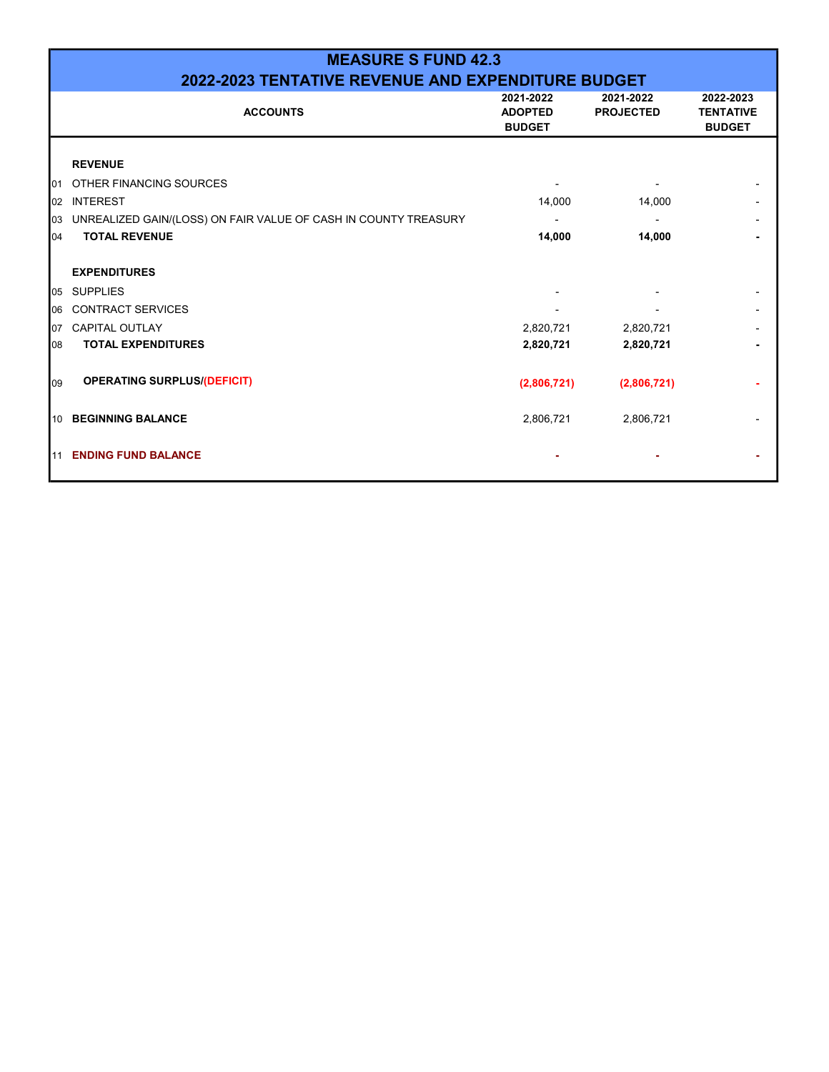|     | <b>MEASURE S FUND 42.3</b>                                         |                                              |                               |                                                |  |  |  |  |  |  |  |  |
|-----|--------------------------------------------------------------------|----------------------------------------------|-------------------------------|------------------------------------------------|--|--|--|--|--|--|--|--|
|     | 2022-2023 TENTATIVE REVENUE AND EXPENDITURE BUDGET                 |                                              |                               |                                                |  |  |  |  |  |  |  |  |
|     | <b>ACCOUNTS</b>                                                    | 2021-2022<br><b>ADOPTED</b><br><b>BUDGET</b> | 2021-2022<br><b>PROJECTED</b> | 2022-2023<br><b>TENTATIVE</b><br><b>BUDGET</b> |  |  |  |  |  |  |  |  |
|     | <b>REVENUE</b>                                                     |                                              |                               |                                                |  |  |  |  |  |  |  |  |
| 101 | OTHER FINANCING SOURCES                                            |                                              |                               |                                                |  |  |  |  |  |  |  |  |
| 02  | <b>INTEREST</b>                                                    | 14,000                                       | 14,000                        |                                                |  |  |  |  |  |  |  |  |
|     | 03 UNREALIZED GAIN/(LOSS) ON FAIR VALUE OF CASH IN COUNTY TREASURY |                                              |                               |                                                |  |  |  |  |  |  |  |  |
| 04  | <b>TOTAL REVENUE</b>                                               | 14,000                                       | 14,000                        |                                                |  |  |  |  |  |  |  |  |
|     | <b>EXPENDITURES</b>                                                |                                              |                               |                                                |  |  |  |  |  |  |  |  |
| 05  | <b>SUPPLIES</b>                                                    |                                              |                               |                                                |  |  |  |  |  |  |  |  |
| 06  | <b>CONTRACT SERVICES</b>                                           |                                              |                               |                                                |  |  |  |  |  |  |  |  |
| 107 | <b>CAPITAL OUTLAY</b>                                              | 2,820,721                                    | 2,820,721                     |                                                |  |  |  |  |  |  |  |  |
| 08  | <b>TOTAL EXPENDITURES</b>                                          | 2,820,721                                    | 2,820,721                     |                                                |  |  |  |  |  |  |  |  |
| 09  | <b>OPERATING SURPLUS/(DEFICIT)</b>                                 | (2,806,721)                                  | (2,806,721)                   |                                                |  |  |  |  |  |  |  |  |
|     | 10 BEGINNING BALANCE                                               | 2,806,721                                    | 2,806,721                     |                                                |  |  |  |  |  |  |  |  |
| 11  | <b>ENDING FUND BALANCE</b>                                         |                                              |                               |                                                |  |  |  |  |  |  |  |  |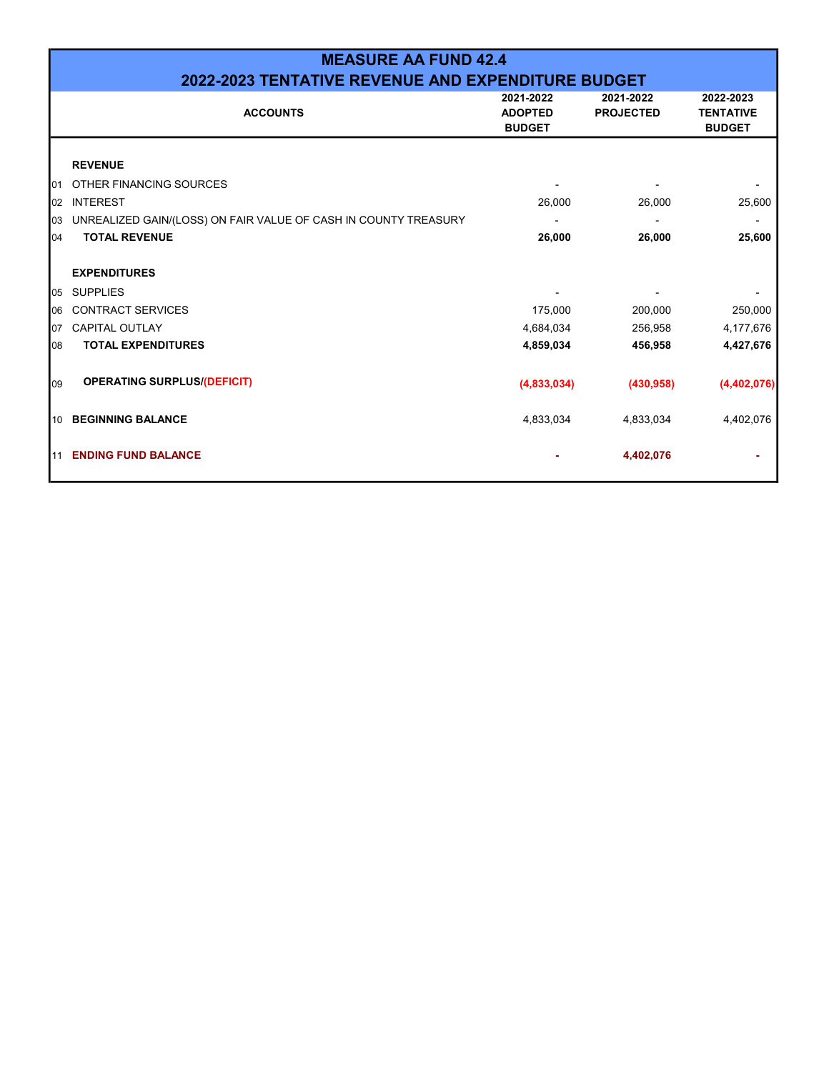|     | <b>MEASURE AA FUND 42.4</b>                                     |                                              |                               |                                                |  |  |  |  |  |  |  |  |
|-----|-----------------------------------------------------------------|----------------------------------------------|-------------------------------|------------------------------------------------|--|--|--|--|--|--|--|--|
|     | 2022-2023 TENTATIVE REVENUE AND EXPENDITURE BUDGET              |                                              |                               |                                                |  |  |  |  |  |  |  |  |
|     | <b>ACCOUNTS</b>                                                 | 2021-2022<br><b>ADOPTED</b><br><b>BUDGET</b> | 2021-2022<br><b>PROJECTED</b> | 2022-2023<br><b>TENTATIVE</b><br><b>BUDGET</b> |  |  |  |  |  |  |  |  |
|     | <b>REVENUE</b>                                                  |                                              |                               |                                                |  |  |  |  |  |  |  |  |
| 101 | OTHER FINANCING SOURCES                                         |                                              |                               |                                                |  |  |  |  |  |  |  |  |
| 02  | <b>INTEREST</b>                                                 | 26,000                                       | 26,000                        | 25,600                                         |  |  |  |  |  |  |  |  |
| 03  | UNREALIZED GAIN/(LOSS) ON FAIR VALUE OF CASH IN COUNTY TREASURY |                                              |                               |                                                |  |  |  |  |  |  |  |  |
| 104 | <b>TOTAL REVENUE</b>                                            | 26,000                                       | 26,000                        | 25,600                                         |  |  |  |  |  |  |  |  |
|     | <b>EXPENDITURES</b>                                             |                                              |                               |                                                |  |  |  |  |  |  |  |  |
|     | 05 SUPPLIES                                                     |                                              |                               |                                                |  |  |  |  |  |  |  |  |
| 06  | <b>CONTRACT SERVICES</b>                                        | 175,000                                      | 200,000                       | 250,000                                        |  |  |  |  |  |  |  |  |
| 07  | <b>CAPITAL OUTLAY</b>                                           | 4,684,034                                    | 256,958                       | 4,177,676                                      |  |  |  |  |  |  |  |  |
| 108 | <b>TOTAL EXPENDITURES</b>                                       | 4,859,034                                    | 456,958                       | 4,427,676                                      |  |  |  |  |  |  |  |  |
| 09  | <b>OPERATING SURPLUS/(DEFICIT)</b>                              | (4,833,034)                                  | (430, 958)                    | (4,402,076)                                    |  |  |  |  |  |  |  |  |
| 10  | <b>BEGINNING BALANCE</b>                                        | 4,833,034                                    | 4,833,034                     | 4,402,076                                      |  |  |  |  |  |  |  |  |
| 11  | <b>ENDING FUND BALANCE</b>                                      |                                              | 4,402,076                     |                                                |  |  |  |  |  |  |  |  |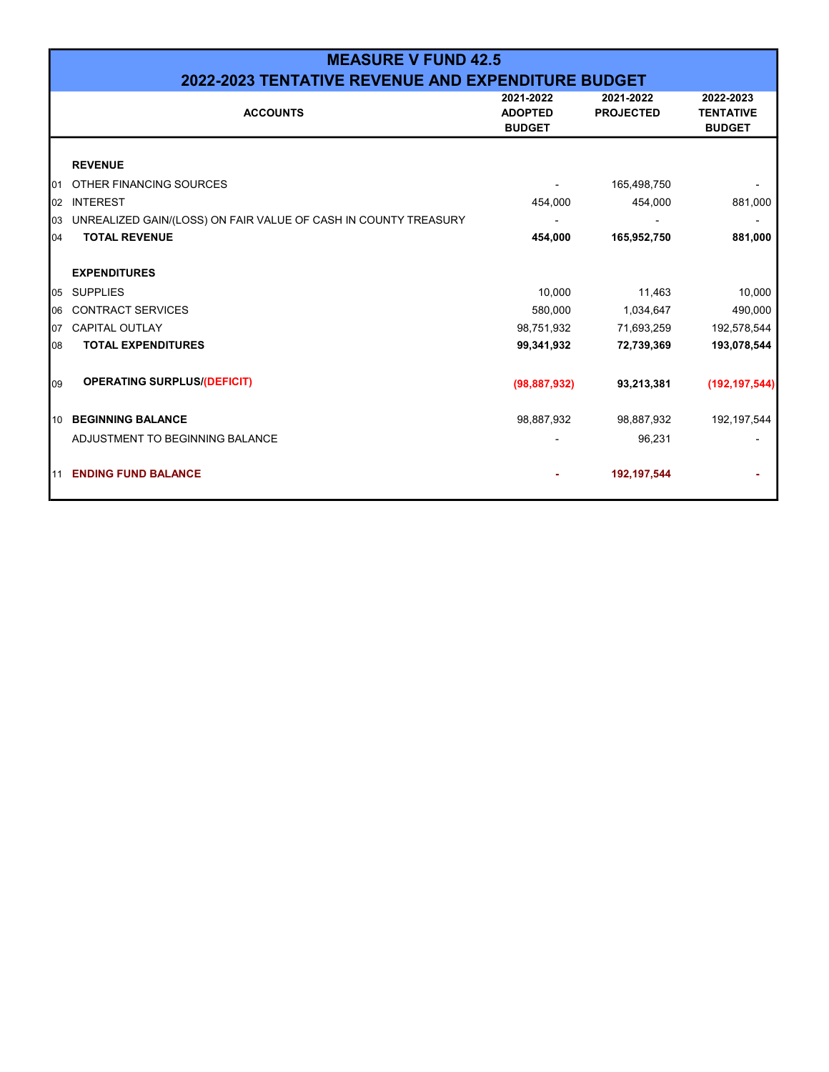|     | <b>MEASURE V FUND 42.5</b>                                      |                                              |                               |                                                |  |  |  |  |  |  |  |  |
|-----|-----------------------------------------------------------------|----------------------------------------------|-------------------------------|------------------------------------------------|--|--|--|--|--|--|--|--|
|     | 2022-2023 TENTATIVE REVENUE AND EXPENDITURE BUDGET              |                                              |                               |                                                |  |  |  |  |  |  |  |  |
|     | <b>ACCOUNTS</b>                                                 | 2021-2022<br><b>ADOPTED</b><br><b>BUDGET</b> | 2021-2022<br><b>PROJECTED</b> | 2022-2023<br><b>TENTATIVE</b><br><b>BUDGET</b> |  |  |  |  |  |  |  |  |
|     | <b>REVENUE</b>                                                  |                                              |                               |                                                |  |  |  |  |  |  |  |  |
| 101 | OTHER FINANCING SOURCES                                         |                                              | 165,498,750                   |                                                |  |  |  |  |  |  |  |  |
| 02  | <b>INTEREST</b>                                                 | 454,000                                      | 454,000                       | 881,000                                        |  |  |  |  |  |  |  |  |
| 03  | UNREALIZED GAIN/(LOSS) ON FAIR VALUE OF CASH IN COUNTY TREASURY |                                              |                               |                                                |  |  |  |  |  |  |  |  |
| 104 | <b>TOTAL REVENUE</b>                                            | 454,000                                      | 165,952,750                   | 881,000                                        |  |  |  |  |  |  |  |  |
|     | <b>EXPENDITURES</b>                                             |                                              |                               |                                                |  |  |  |  |  |  |  |  |
| 05  | <b>SUPPLIES</b>                                                 | 10,000                                       | 11,463                        | 10,000                                         |  |  |  |  |  |  |  |  |
| 06  | <b>CONTRACT SERVICES</b>                                        | 580,000                                      | 1,034,647                     | 490,000                                        |  |  |  |  |  |  |  |  |
| 07  | <b>CAPITAL OUTLAY</b>                                           | 98,751,932                                   | 71,693,259                    | 192,578,544                                    |  |  |  |  |  |  |  |  |
| 08  | <b>TOTAL EXPENDITURES</b>                                       | 99,341,932                                   | 72,739,369                    | 193,078,544                                    |  |  |  |  |  |  |  |  |
| 09  | <b>OPERATING SURPLUS/(DEFICIT)</b>                              | (98, 887, 932)                               | 93,213,381                    | (192, 197, 544)                                |  |  |  |  |  |  |  |  |
| 10  | <b>BEGINNING BALANCE</b>                                        | 98,887,932                                   | 98,887,932                    | 192, 197, 544                                  |  |  |  |  |  |  |  |  |
|     | ADJUSTMENT TO BEGINNING BALANCE                                 |                                              | 96,231                        |                                                |  |  |  |  |  |  |  |  |
| 11  | <b>ENDING FUND BALANCE</b>                                      |                                              | 192, 197, 544                 |                                                |  |  |  |  |  |  |  |  |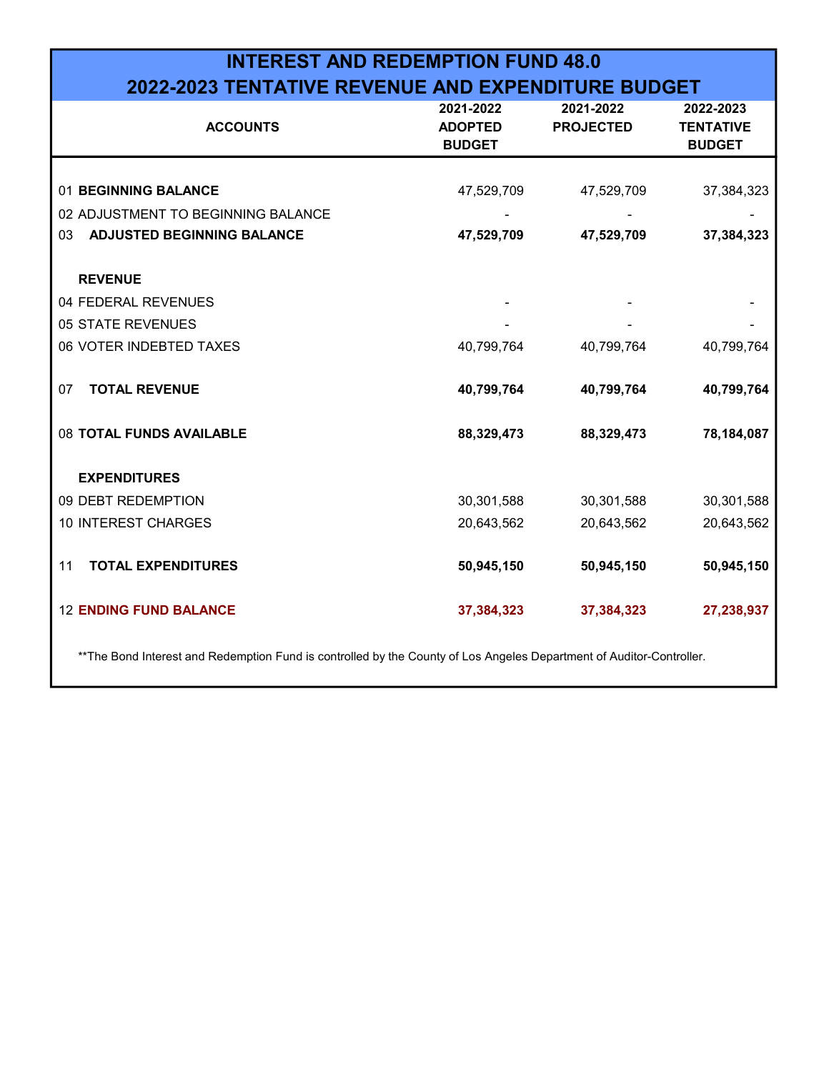# INTEREST AND REDEMPTION FUND 48.0 2022-2023 TENTATIVE REVENUE AND EXPENDITURE BUDGET

| 2021-2022<br><b>ADOPTED</b><br><b>BUDGET</b> | 2021-2022<br><b>PROJECTED</b> | 2022-2023<br><b>TENTATIVE</b><br><b>BUDGET</b> |
|----------------------------------------------|-------------------------------|------------------------------------------------|
|                                              |                               |                                                |
| 47,529,709                                   | 47,529,709                    | 37,384,323                                     |
|                                              |                               |                                                |
| 47,529,709                                   | 47,529,709                    | 37,384,323                                     |
|                                              |                               |                                                |
|                                              |                               |                                                |
|                                              |                               |                                                |
|                                              |                               |                                                |
| 40,799,764                                   | 40,799,764                    | 40,799,764                                     |
|                                              |                               |                                                |
| 40,799,764                                   | 40,799,764                    | 40,799,764                                     |
|                                              |                               |                                                |
| 88,329,473                                   | 88,329,473                    | 78,184,087                                     |
|                                              |                               |                                                |
|                                              |                               |                                                |
| 30,301,588                                   | 30,301,588                    | 30,301,588                                     |
| 20,643,562                                   | 20,643,562                    | 20,643,562                                     |
|                                              |                               |                                                |
| 50,945,150                                   | 50,945,150                    | 50,945,150                                     |
|                                              |                               |                                                |
| 37,384,323                                   | 37,384,323                    | 27,238,937                                     |
|                                              |                               |                                                |

\*\*The Bond Interest and Redemption Fund is controlled by the County of Los Angeles Department of Auditor-Controller.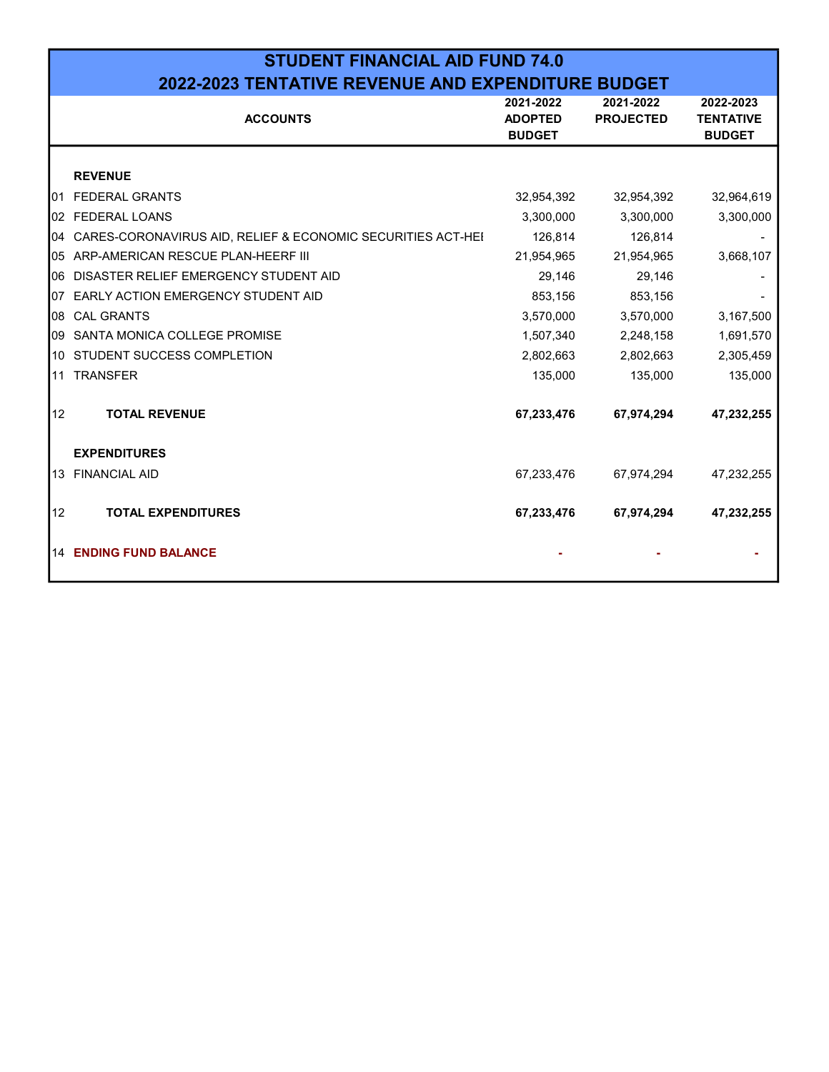|     | <b>STUDENT FINANCIAL AID FUND 74.0</b>                      |                                              |                               |                                                |  |  |  |  |  |  |  |
|-----|-------------------------------------------------------------|----------------------------------------------|-------------------------------|------------------------------------------------|--|--|--|--|--|--|--|
|     | <b>2022-2023 TENTATIVE REVENUE AND EXPENDITURE BUDGET</b>   |                                              |                               |                                                |  |  |  |  |  |  |  |
|     | <b>ACCOUNTS</b>                                             | 2021-2022<br><b>ADOPTED</b><br><b>BUDGET</b> | 2021-2022<br><b>PROJECTED</b> | 2022-2023<br><b>TENTATIVE</b><br><b>BUDGET</b> |  |  |  |  |  |  |  |
|     | <b>REVENUE</b>                                              |                                              |                               |                                                |  |  |  |  |  |  |  |
| 01  | <b>FEDERAL GRANTS</b>                                       | 32,954,392                                   | 32,954,392                    | 32,964,619                                     |  |  |  |  |  |  |  |
| 02  | <b>FEDERAL LOANS</b>                                        | 3,300,000                                    | 3,300,000                     | 3,300,000                                      |  |  |  |  |  |  |  |
| 04  | CARES-CORONAVIRUS AID, RELIEF & ECONOMIC SECURITIES ACT-HEI | 126,814                                      | 126,814                       |                                                |  |  |  |  |  |  |  |
| 05  | ARP-AMERICAN RESCUE PLAN-HEERF III                          | 21,954,965                                   | 21,954,965                    | 3,668,107                                      |  |  |  |  |  |  |  |
| 06  | DISASTER RELIEF EMERGENCY STUDENT AID                       | 29,146                                       | 29,146                        |                                                |  |  |  |  |  |  |  |
| 07  | <b>EARLY ACTION EMERGENCY STUDENT AID</b>                   | 853,156                                      | 853,156                       |                                                |  |  |  |  |  |  |  |
| 08  | <b>CAL GRANTS</b>                                           | 3,570,000                                    | 3,570,000                     | 3,167,500                                      |  |  |  |  |  |  |  |
| 09  | SANTA MONICA COLLEGE PROMISE                                | 1,507,340                                    | 2,248,158                     | 1,691,570                                      |  |  |  |  |  |  |  |
| 10  | STUDENT SUCCESS COMPLETION                                  | 2,802,663                                    | 2,802,663                     | 2,305,459                                      |  |  |  |  |  |  |  |
| l11 | <b>TRANSFER</b>                                             | 135,000                                      | 135,000                       | 135,000                                        |  |  |  |  |  |  |  |
| 12  | <b>TOTAL REVENUE</b>                                        | 67,233,476                                   | 67,974,294                    | 47,232,255                                     |  |  |  |  |  |  |  |
|     | <b>EXPENDITURES</b>                                         |                                              |                               |                                                |  |  |  |  |  |  |  |
| 13  | <b>FINANCIAL AID</b>                                        | 67,233,476                                   | 67,974,294                    | 47,232,255                                     |  |  |  |  |  |  |  |
| 12  | <b>TOTAL EXPENDITURES</b>                                   | 67,233,476                                   | 67,974,294                    | 47,232,255                                     |  |  |  |  |  |  |  |
|     | 14 ENDING FUND BALANCE                                      |                                              |                               |                                                |  |  |  |  |  |  |  |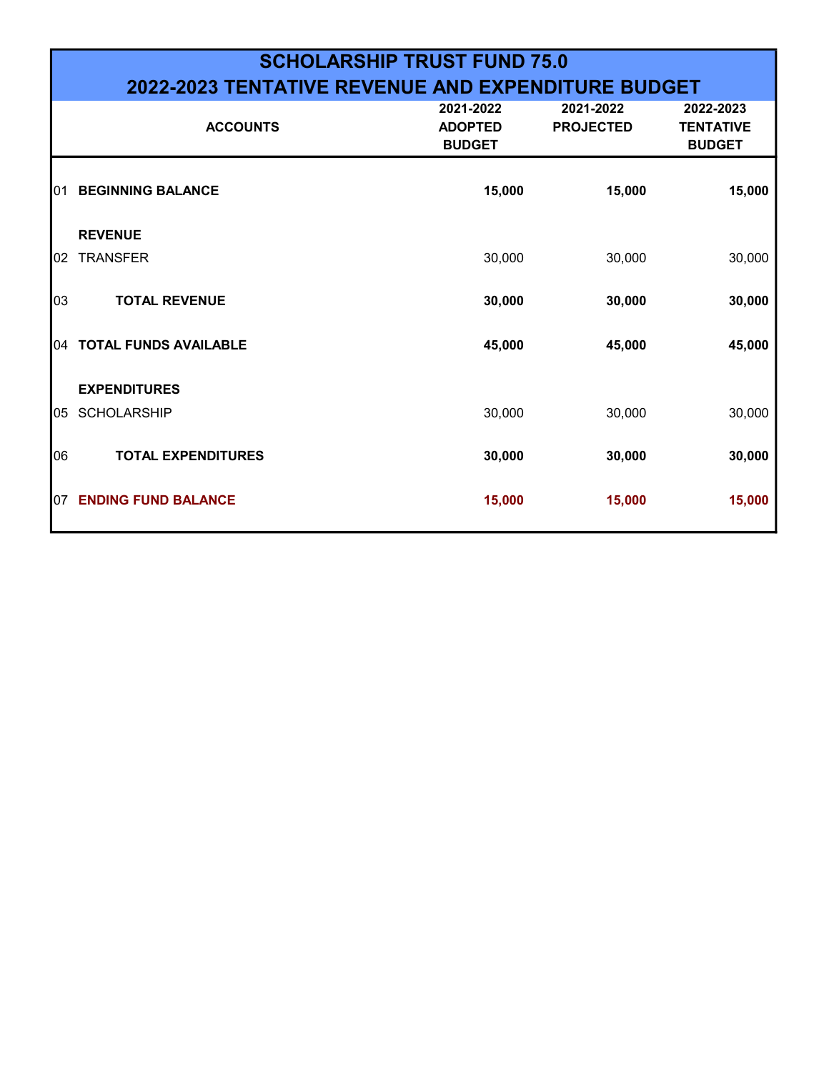# SCHOLARSHIP TRUST FUND 75.0 2022-2023 TENTATIVE REVENUE AND EXPENDITURE BUDGET

|     | <b>ACCOUNTS</b>              | 2021-2022<br><b>ADOPTED</b><br><b>BUDGET</b> | 2021-2022<br><b>PROJECTED</b> | 2022-2023<br><b>TENTATIVE</b><br><b>BUDGET</b> |
|-----|------------------------------|----------------------------------------------|-------------------------------|------------------------------------------------|
| 01  | <b>BEGINNING BALANCE</b>     | 15,000                                       | 15,000                        | 15,000                                         |
|     | <b>REVENUE</b>               |                                              |                               |                                                |
| 02  | <b>TRANSFER</b>              | 30,000                                       | 30,000                        | 30,000                                         |
| 03  | <b>TOTAL REVENUE</b>         | 30,000                                       | 30,000                        | 30,000                                         |
| 04  | <b>TOTAL FUNDS AVAILABLE</b> | 45,000                                       | 45,000                        | 45,000                                         |
|     | <b>EXPENDITURES</b>          |                                              |                               |                                                |
| 05  | <b>SCHOLARSHIP</b>           | 30,000                                       | 30,000                        | 30,000                                         |
| 06  | <b>TOTAL EXPENDITURES</b>    | 30,000                                       | 30,000                        | 30,000                                         |
| 107 | <b>ENDING FUND BALANCE</b>   | 15,000                                       | 15,000                        | 15,000                                         |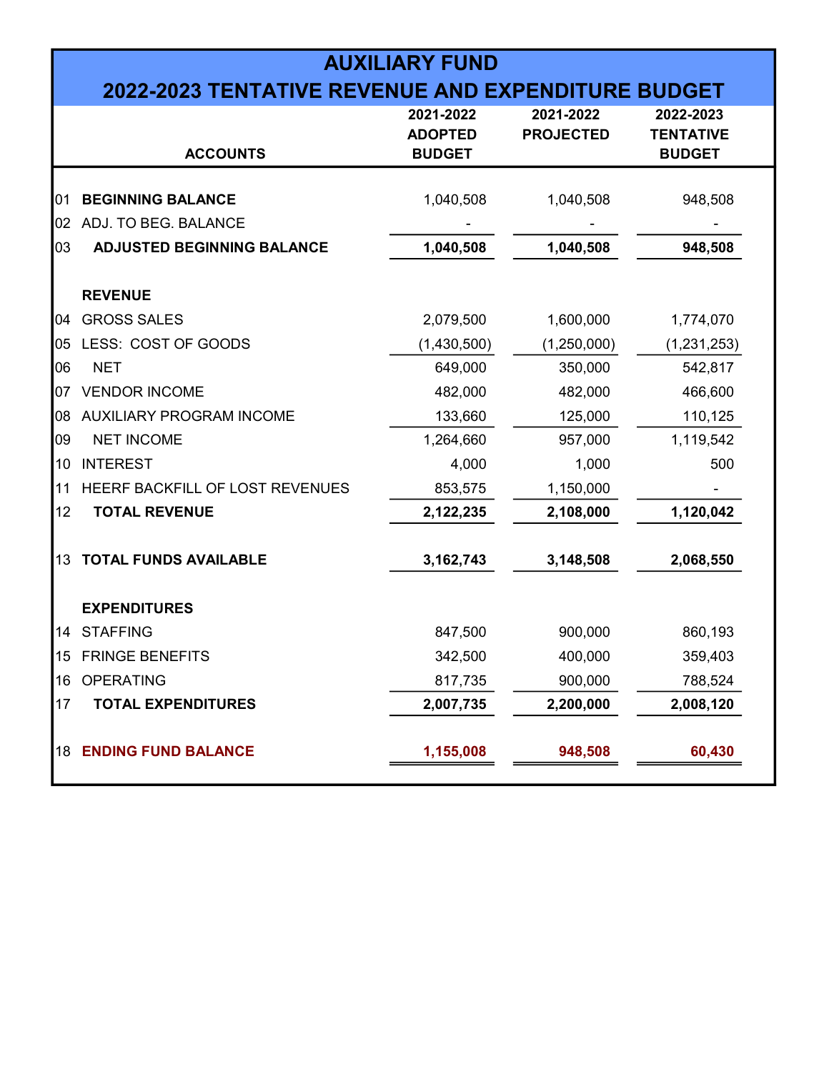| <b>AUXILIARY FUND</b><br><b>2022-2023 TENTATIVE REVENUE AND EXPENDITURE BUDGET</b> |                                        |                                              |                               |                                                |  |  |  |  |  |
|------------------------------------------------------------------------------------|----------------------------------------|----------------------------------------------|-------------------------------|------------------------------------------------|--|--|--|--|--|
|                                                                                    | <b>ACCOUNTS</b>                        | 2021-2022<br><b>ADOPTED</b><br><b>BUDGET</b> | 2021-2022<br><b>PROJECTED</b> | 2022-2023<br><b>TENTATIVE</b><br><b>BUDGET</b> |  |  |  |  |  |
| 01                                                                                 | <b>BEGINNING BALANCE</b>               | 1,040,508                                    | 1,040,508                     | 948,508                                        |  |  |  |  |  |
| 02                                                                                 | ADJ. TO BEG. BALANCE                   |                                              |                               |                                                |  |  |  |  |  |
| 03                                                                                 | <b>ADJUSTED BEGINNING BALANCE</b>      | 1,040,508                                    | 1,040,508                     | 948,508                                        |  |  |  |  |  |
|                                                                                    | <b>REVENUE</b>                         |                                              |                               |                                                |  |  |  |  |  |
| 04                                                                                 | <b>GROSS SALES</b>                     | 2,079,500                                    | 1,600,000                     | 1,774,070                                      |  |  |  |  |  |
| 05                                                                                 | LESS: COST OF GOODS                    | (1,430,500)                                  | (1,250,000)                   | (1, 231, 253)                                  |  |  |  |  |  |
| 06                                                                                 | <b>NET</b>                             | 649,000                                      | 350,000                       | 542,817                                        |  |  |  |  |  |
| 07                                                                                 | <b>VENDOR INCOME</b>                   | 482,000                                      | 482,000                       | 466,600                                        |  |  |  |  |  |
| 08                                                                                 | AUXILIARY PROGRAM INCOME               | 133,660                                      | 125,000                       | 110,125                                        |  |  |  |  |  |
| 09                                                                                 | <b>NET INCOME</b>                      | 1,264,660                                    | 957,000                       | 1,119,542                                      |  |  |  |  |  |
| 10                                                                                 | <b>INTEREST</b>                        | 4,000                                        | 1,000                         | 500                                            |  |  |  |  |  |
| 11                                                                                 | <b>HEERF BACKFILL OF LOST REVENUES</b> | 853,575                                      | 1,150,000                     |                                                |  |  |  |  |  |
| 12                                                                                 | <b>TOTAL REVENUE</b>                   | 2,122,235                                    | 2,108,000                     | 1,120,042                                      |  |  |  |  |  |
| 13                                                                                 | <b>TOTAL FUNDS AVAILABLE</b>           | 3, 162, 743                                  | 3,148,508                     | 2,068,550                                      |  |  |  |  |  |
|                                                                                    | <b>EXPENDITURES</b>                    |                                              |                               |                                                |  |  |  |  |  |
| 14                                                                                 | <b>STAFFING</b>                        | 847,500                                      | 900,000                       | 860,193                                        |  |  |  |  |  |
| 15                                                                                 | <b>FRINGE BENEFITS</b>                 | 342,500                                      | 400,000                       | 359,403                                        |  |  |  |  |  |
| 16                                                                                 | <b>OPERATING</b>                       | 817,735                                      | 900,000                       | 788,524                                        |  |  |  |  |  |
| 17                                                                                 | <b>TOTAL EXPENDITURES</b>              | 2,007,735                                    | 2,200,000                     | 2,008,120                                      |  |  |  |  |  |
| 18                                                                                 | <b>ENDING FUND BALANCE</b>             | 1,155,008                                    | 948,508                       | 60,430                                         |  |  |  |  |  |